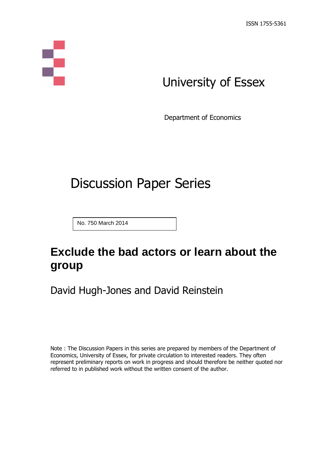

# University of Essex

Department of Economics

# Discussion Paper Series

No. 750 March 2014

## **Exclude the bad actors or learn about the group**

David Hugh-Jones and David Reinstein

Note : The Discussion Papers in this series are prepared by members of the Department of Economics, University of Essex, for private circulation to interested readers. They often represent preliminary reports on work in progress and should therefore be neither quoted nor referred to in published work without the written consent of the author.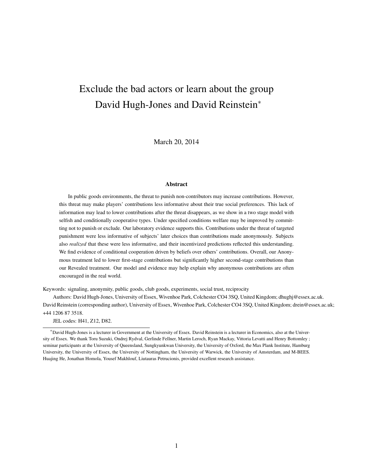## Exclude the bad actors or learn about the group David Hugh-Jones and David Reinstein<sup>∗</sup>

March 20, 2014

#### Abstract

In public goods environments, the threat to punish non-contributors may increase contributions. However, this threat may make players' contributions less informative about their true social preferences. This lack of information may lead to lower contributions after the threat disappears, as we show in a two stage model with selfish and conditionally cooperative types. Under specified conditions welfare may be improved by committing not to punish or exclude. Our laboratory evidence supports this. Contributions under the threat of targeted punishment were less informative of subjects' later choices than contributions made anonymously. Subjects also *realized* that these were less informative, and their incentivized predictions reflected this understanding. We find evidence of conditional cooperation driven by beliefs over others' contributions. Overall, our Anonymous treatment led to lower first-stage contributions but significantly higher second-stage contributions than our Revealed treatment. Our model and evidence may help explain why anonymous contributions are often encouraged in the real world.

Keywords: signaling, anonymity, public goods, club goods, experiments, social trust, reciprocity

Authors: David Hugh-Jones, University of Essex, Wivenhoe Park, Colchester CO4 3SQ, United Kingdom; dhughj@essex.ac.uk. David Reinstein (corresponding author), University of Essex, Wivenhoe Park, Colchester CO4 3SQ, United Kingdom; drein@essex.ac.uk; +44 1206 87 3518.

JEL codes: H41, Z12, D82.

<sup>∗</sup>David Hugh-Jones is a lecturer in Government at the University of Essex. David Reinstein is a lecturer in Economics, also at the University of Essex. We thank Toru Suzuki, Ondrej Rydval, Gerlinde Fellner, Martin Leroch, Ryan Mackay, Vittoria Levatti and Henry Bottomley ; seminar participants at the University of Queensland, Sungkyunkwan University, the University of Oxford, the Max Plank Institute, Hamburg University, the University of Essex, the University of Nottingham, the University of Warwick, the University of Amsterdam, and M-BEES. Huajing He, Jonathan Homola, Yousef Makhlouf, Liutauras Petrucionis, provided excellent research assistance.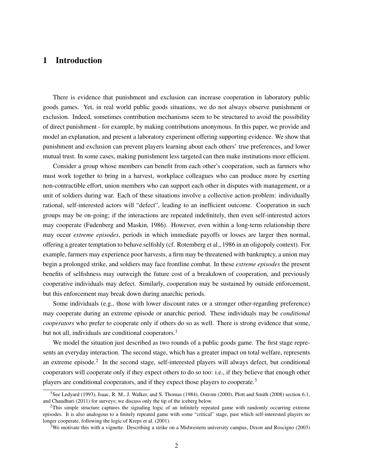## 1 Introduction

There is evidence that punishment and exclusion can increase cooperation in laboratory public goods games. Yet, in real world public goods situations, we do not always observe punishment or exclusion. Indeed, sometimes contribution mechanisms seem to be structured to avoid the possibility of direct punishment - for example, by making contributions anonymous. In this paper, we provide and model an explanation, and present a laboratory experiment offering supporting evidence. We show that punishment and exclusion can prevent players learning about each others' true preferences, and lower mutual trust. In some cases, making punishment less targeted can then make institutions more efficient.

Consider a group whose members can benefit from each other's cooperation, such as farmers who must work together to bring in a harvest, workplace colleagues who can produce more by exerting non-contractible effort, union members who can support each other in disputes with management, or a unit of soldiers during war. Each of these situations involve a collective action problem: individually rational, self-interested actors will "defect", leading to an inefficient outcome. Cooperation in such groups may be on-going; if the interactions are repeated indefinitely, then even self-interested actors may cooperate (Fudenberg and Maskin, 1986). However, even within a long-term relationship there may occur *extreme episodes*, periods in which immediate payoffs or losses are larger then normal, offering a greater temptation to behave selfishly (cf. Rotemberg et al., 1986 in an oligopoly context). For example, farmers may experience poor harvests, a firm may be threatened with bankruptcy, a union may begin a prolonged strike, and soldiers may face frontline combat. In these *extreme episodes* the present benefits of selfishness may outweigh the future cost of a breakdown of cooperation, and previously cooperative individuals may defect. Similarly, cooperation may be sustained by outside enforcement, but this enforcement may break down during anarchic periods.

Some individuals (e.g., those with lower discount rates or a stronger other-regarding preference) may cooperate during an extreme episode or anarchic period. These individuals may be *conditional cooperators* who prefer to cooperate only if others do so as well. There is strong evidence that some, but not all, individuals are conditional cooperators.<sup>1</sup>

We model the situation just described as two rounds of a public goods game. The first stage represents an everyday interaction. The second stage, which has a greater impact on total welfare, represents an extreme episode.<sup>2</sup> In the second stage, self-interested players will always defect, but conditional cooperators will cooperate only if they expect others to do so too: i.e., if they believe that enough other players are conditional cooperators, and if they expect those players to cooperate.<sup>3</sup>

<sup>&</sup>lt;sup>1</sup>See Ledyard (1993), Isaac, R. M., J. Walker, and S. Thomas (1984), Ostrom (2000), Plott and Smith (2008) section 6.1, and Chaudhuri (2011) for surveys; we discuss only the tip of the iceberg below.

 $2$ This simple structure captures the signaling logic of an infinitely repeated game with randomly occurring extreme episodes. It is also analogous to a finitely repeated game with some "critical" stage, past which self-interested players no longer cooperate, following the logic of Kreps et al. (2001).

<sup>3</sup>We motivate this with a vignette. Describing a strike on a Midwestern university campus, Dixon and Roscigno (2003)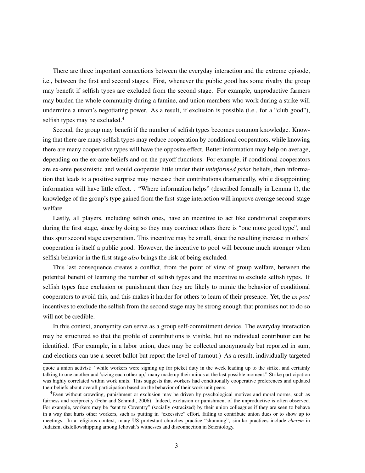There are three important connections between the everyday interaction and the extreme episode, i.e., between the first and second stages. First, whenever the public good has some rivalry the group may benefit if selfish types are excluded from the second stage. For example, unproductive farmers may burden the whole community during a famine, and union members who work during a strike will undermine a union's negotiating power. As a result, if exclusion is possible (i.e., for a "club good"), selfish types may be excluded.<sup>4</sup>

Second, the group may benefit if the number of selfish types becomes common knowledge. Knowing that there are many selfish types may reduce cooperation by conditional cooperators, while knowing there are many cooperative types will have the opposite effect*.* Better information may help on average, depending on the ex-ante beliefs and on the payoff functions. For example, if conditional cooperators are ex-ante pessimistic and would cooperate little under their *uninformed prior* beliefs, then information that leads to a positive surprise may increase their contributions dramatically, while disappointing information will have little effect. . "Where information helps" (described formally in Lemma 1), the knowledge of the group's type gained from the first-stage interaction will improve average second-stage welfare.

Lastly, all players, including selfish ones, have an incentive to act like conditional cooperators during the first stage, since by doing so they may convince others there is "one more good type", and thus spur second stage cooperation. This incentive may be small, since the resulting increase in others' cooperation is itself a public good. However, the incentive to pool will become much stronger when selfish behavior in the first stage *also* brings the risk of being excluded.

This last consequence creates a conflict, from the point of view of group welfare, between the potential benefit of learning the number of selfish types and the incentive to exclude selfish types. If selfish types face exclusion or punishment then they are likely to mimic the behavior of conditional cooperators to avoid this, and this makes it harder for others to learn of their presence. Yet, the *ex post* incentives to exclude the selfish from the second stage may be strong enough that promises not to do so will not be credible.

In this context, anonymity can serve as a group self-commitment device. The everyday interaction may be structured so that the profile of contributions is visible, but no individual contributor can be identified. (For example, in a labor union, dues may be collected anonymously but reported in sum, and elections can use a secret ballot but report the level of turnout.) As a result, individually targeted

quote a union activist: "while workers were signing up for picket duty in the week leading up to the strike, and certainly talking to one another and 'sizing each other up,' many made up their minds at the last possible moment." Strike participation was highly correlated within work units. This suggests that workers had conditionally cooperative preferences and updated their beliefs about overall participation based on the behavior of their work unit peers.

<sup>4</sup>Even without crowding, punishment or exclusion may be driven by psychological motives and moral norms, such as fairness and reciprocity (Fehr and Schmidt, 2006). Indeed, exclusion or punishment of the unproductive is often observed. For example, workers may be "sent to Coventry" (socially ostracized) by their union colleagues if they are seen to behave in a way that hurts other workers, such as putting in "excessive" effort, failing to contribute union dues or to show up to meetings. In a religious context, many US protestant churches practice "shunning"; similar practices include *cherem* in Judaism, disfellowshipping among Jehovah's witnesses and disconnection in Scientology.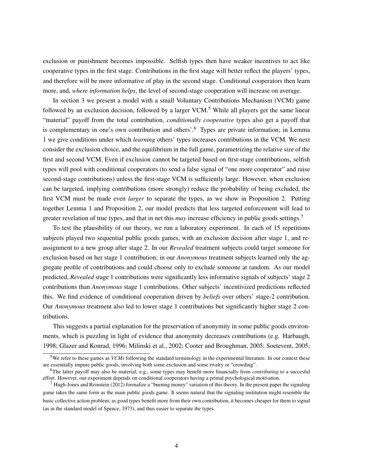exclusion or punishment becomes impossible. Selfish types then have weaker incentives to act like cooperative types in the first stage. Contributions in the first stage will better reflect the players' types, and therefore will be more informative of play in the second stage. Conditional cooperators then learn more, and, *where information helps*, the level of second-stage cooperation will increase on average.

In section 3 we present a model with a small Voluntary Contributions Mechanism (VCM) game followed by an exclusion decision, followed by a larger  $VCM$ <sup>5</sup>. While all players get the same linear "material" payoff from the total contribution, *conditionally cooperative* types also get a payoff that is complementary in one's own contribution and others'.<sup>6</sup> Types are private information; in Lemma 1 we give conditions under which *learning* others' types increases contributions in the VCM. We next consider the exclusion choice, and the equilibrium in the full game, parametrizing the relative size of the first and second VCM. Even if exclusion cannot be targeted based on first-stage contributions, selfish types will pool with conditional cooperators (to send a false signal of "one more cooperator" and raise second-stage contributions) unless the first-stage VCM is sufficiently large. However, when exclusion can be targeted, implying contributions (more strongly) reduce the probability of being excluded, the first VCM must be made even *larger* to separate the types, as we show in Proposition 2. Putting together Lemma 1 and Proposition 2, our model predicts that less targeted enforcement will lead to greater revelation of true types, and that in net this *may* increase efficiency in public goods settings.<sup>7</sup>

To test the plausibility of our theory, we run a laboratory experiment. In each of 15 repetitions subjects played two sequential public goods games, with an exclusion decision after stage 1, and reassignment to a new group after stage 2. In our *Revealed* treatment subjects could target someone for exclusion based on her stage 1 contribution; in our *Anonymous* treatment subjects learned only the aggregate profile of contributions and could choose only to exclude someone at random. As our model predicted, *Revealed* stage 1 contributions were significantly less informative signals of subjects' stage 2 contributions than *Anonymous* stage 1 contributions. Other subjects' incentivized predictions reflected this. We find evidence of conditional cooperation driven by *beliefs* over others' stage-2 contribution. Our *Anonymous* treatment also led to lower stage 1 contributions but significantly higher stage 2 contributions.

This suggests a partial explanation for the preservation of anonymity in some public goods environments, which is puzzling in light of evidence that anonymity decreases contributions (e.g. Harbaugh, 1998; Glazer and Konrad, 1996; Milinski et al., 2002; Cooter and Broughman, 2005; Soetevent, 2005;

<sup>5</sup>We refer to these games as *VCMs* following the standard terminology in the experimental literature. In our context these are essentially impure public goods, involving both some exclusion and some rivalry or "crowding".

<sup>6</sup>The latter payoff may also be material; e.g., some types may benefit more financially from *contributing* to a succesful effort. However, our experiment depends on conditional cooperators having a primal psychological motivation.

 $<sup>7</sup>$  Hugh-Jones and Reinstein (2012) formalize a "burning money" variation of this theory. In the present paper the signaling</sup> game takes the same form as the main public goods game. It seems natural that the signaling institution might resemble the basic collective action problem; as good types benefit more from their own contribution, it becomes cheaper for them to signal (as in the standard model of Spence, 1973), and thus easier to separate the types.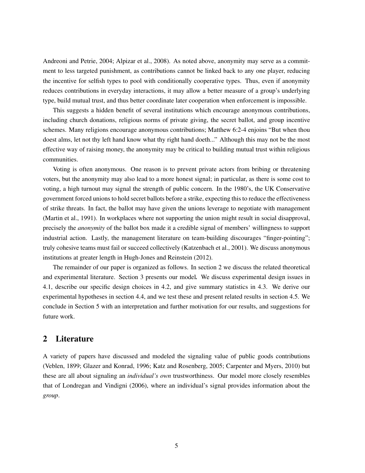Andreoni and Petrie, 2004; Alpizar et al., 2008). As noted above, anonymity may serve as a commitment to less targeted punishment, as contributions cannot be linked back to any one player, reducing the incentive for selfish types to pool with conditionally cooperative types. Thus, even if anonymity reduces contributions in everyday interactions, it may allow a better measure of a group's underlying type, build mutual trust, and thus better coordinate later cooperation when enforcement is impossible.

This suggests a hidden benefit of several institutions which encourage anonymous contributions, including church donations, religious norms of private giving, the secret ballot, and group incentive schemes. Many religions encourage anonymous contributions; Matthew 6:2-4 enjoins "But when thou doest alms, let not thy left hand know what thy right hand doeth..." Although this may not be the most effective way of raising money, the anonymity may be critical to building mutual trust within religious communities.

Voting is often anonymous. One reason is to prevent private actors from bribing or threatening voters, but the anonymity may also lead to a more honest signal; in particular, as there is some cost to voting, a high turnout may signal the strength of public concern. In the 1980's, the UK Conservative government forced unions to hold secret ballots before a strike, expecting this to reduce the effectiveness of strike threats. In fact, the ballot may have given the unions leverage to negotiate with management (Martin et al., 1991). In workplaces where not supporting the union might result in social disapproval, precisely the *anonymity* of the ballot box made it a credible signal of members' willingness to support industrial action. Lastly, the management literature on team-building discourages "finger-pointing"; truly cohesive teams must fail or succeed collectively (Katzenbach et al., 2001). We discuss anonymous institutions at greater length in Hugh-Jones and Reinstein (2012).

The remainder of our paper is organized as follows. In section 2 we discuss the related theoretical and experimental literature. Section 3 presents our model*.* We discuss experimental design issues in 4.1, describe our specific design choices in 4.2, and give summary statistics in 4.3. We derive our experimental hypotheses in section 4.4, and we test these and present related results in section 4.5. We conclude in Section 5 with an interpretation and further motivation for our results, and suggestions for future work.

## 2 Literature

A variety of papers have discussed and modeled the signaling value of public goods contributions (Veblen, 1899; Glazer and Konrad, 1996; Katz and Rosenberg, 2005; Carpenter and Myers, 2010) but these are all about signaling an *individual's own* trustworthiness. Our model more closely resembles that of Londregan and Vindigni (2006), where an individual's signal provides information about the *group*.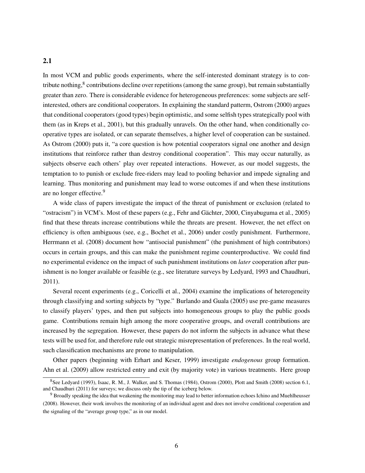## 2.1

In most VCM and public goods experiments, where the self-interested dominant strategy is to contribute nothing, ${}^{8}$  contributions decline over repetitions (among the same group), but remain substantially greater than zero. There is considerable evidence for heterogeneous preferences: some subjects are selfinterested, others are conditional cooperators. In explaining the standard patterm, Ostrom (2000) argues that conditional cooperators (good types) begin optimistic, and some selfish types strategically pool with them (as in Kreps et al., 2001), but this gradually unravels. On the other hand, when conditionally cooperative types are isolated, or can separate themselves, a higher level of cooperation can be sustained. As Ostrom (2000) puts it, "a core question is how potential cooperators signal one another and design institutions that reinforce rather than destroy conditional cooperation". This may occur naturally, as subjects observe each others' play over repeated interactions. However, as our model suggests, the temptation to to punish or exclude free-riders may lead to pooling behavior and impede signaling and learning. Thus monitoring and punishment may lead to worse outcomes if and when these institutions are no longer effective.<sup>9</sup>

A wide class of papers investigate the impact of the threat of punishment or exclusion (related to "ostracism") in VCM's. Most of these papers (e.g., Fehr and Gächter, 2000, Cinyabuguma et al., 2005) find that these threats increase contributions while the threats are present. However, the net effect on efficiency is often ambiguous (see, e.g., Bochet et al., 2006) under costly punishment. Furthermore, Herrmann et al. (2008) document how "antisocial punishment" (the punishment of high contributors) occurs in certain groups, and this can make the punishment regime counterproductive. We could find no experimental evidence on the impact of such punishment institutions on *later* cooperation after punishment is no longer available or feasible (e.g., see literature surveys by Ledyard, 1993 and Chaudhuri, 2011).

Several recent experiments (e.g., Coricelli et al., 2004) examine the implications of heterogeneity through classifying and sorting subjects by "type." Burlando and Guala (2005) use pre-game measures to classify players' types, and then put subjects into homogeneous groups to play the public goods game. Contributions remain high among the more cooperative groups, and overall contributions are increased by the segregation. However, these papers do not inform the subjects in advance what these tests will be used for, and therefore rule out strategic misrepresentation of preferences. In the real world, such classification mechanisms are prone to manipulation.

Other papers (beginning with Erhart and Keser, 1999) investigate *endogenous* group formation. Ahn et al. (2009) allow restricted entry and exit (by majority vote) in various treatments. Here group

<sup>8</sup>See Ledyard (1993), Isaac, R. M., J. Walker, and S. Thomas (1984), Ostrom (2000), Plott and Smith (2008) section 6.1, and Chaudhuri (2011) for surveys; we discuss only the tip of the iceberg below.

<sup>9</sup> Broadly speaking the idea that weakening the monitoring may lead to better information echoes Ichino and Muehlheusser (2008). However, their work involves the monitoring of an individual agent and does not involve conditional cooperation and the signaling of the "average group type," as in our model.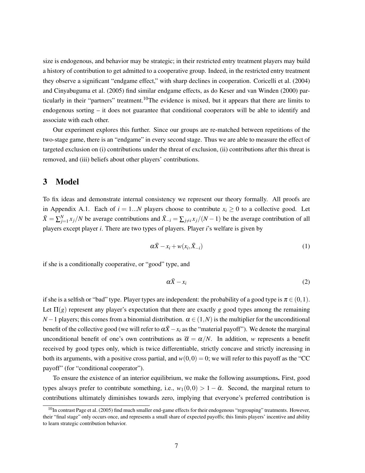size is endogenous, and behavior may be strategic; in their restricted entry treatment players may build a history of contribution to get admitted to a cooperative group. Indeed, in the restricted entry treatment they observe a significant "endgame effect," with sharp declines in cooperation. Coricelli et al. (2004) and Cinyabuguma et al. (2005) find similar endgame effects, as do Keser and van Winden (2000) particularly in their "partners" treatment.<sup>10</sup>The evidence is mixed, but it appears that there are limits to endogenous sorting – it does not guarantee that conditional cooperators will be able to identify and associate with each other.

Our experiment explores this further. Since our groups are re-matched between repetitions of the two-stage game, there is an "endgame" in every second stage. Thus we are able to measure the effect of targeted exclusion on (i) contributions under the threat of exclusion, (ii) contributions after this threat is removed, and (iii) beliefs about other players' contributions.

## 3 Model

To fix ideas and demonstrate internal consistency we represent our theory formally. All proofs are in Appendix A.1. Each of  $i = 1...N$  players choose to contribute  $x_i \geq 0$  to a collective good. Let  $\bar{X} = \sum_{j=1}^{N} x_j/N$  be average contributions and  $\bar{X}_{-i} = \sum_{j \neq i} x_j/(N-1)$  be the average contribution of all players except player *i*. There are two types of players. Player *i*'s welfare is given by

$$
\alpha \bar{X} - x_i + w(x_i, \bar{X}_{-i}) \tag{1}
$$

if she is a conditionally cooperative, or "good" type, and

$$
\alpha \bar{X} - x_i \tag{2}
$$

if she is a selfish or "bad" type. Player types are independent: the probability of a good type is  $\pi \in (0,1)$ . Let  $\Pi(g)$  represent any player's expectation that there are exactly *g* good types among the remaining *N* − 1 players; this comes from a binomial distribution.  $\alpha \in (1, N)$  is the multiplier for the unconditional benefit of the collective good (we will refer to  $\alpha \bar{X} - x_i$  as the "material payoff"). We denote the marginal unconditional benefit of one's own contributions as  $\overline{\alpha} = \alpha/N$ . In addition, *w* represents a benefit received by good types only, which is twice differentiable, strictly concave and strictly increasing in both its arguments, with a positive cross partial, and  $w(0,0) = 0$ ; we will refer to this payoff as the "CC" payoff" (for "conditional cooperator").

To ensure the existence of an interior equilibrium, we make the following assumptions. First, good types always prefer to contribute something, i.e.,  $w_1(0,0) > 1 - \bar{\alpha}$ . Second, the marginal return to contributions ultimately diminishes towards zero, implying that everyone's preferred contribution is

 $10$ In contrast Page et al. (2005) find much smaller end-game effects for their endogenous "regrouping" treatments. However, their "final stage" only occurs once, and represents a small share of expected payoffs; this limits players' incentive and ability to learn strategic contribution behavior.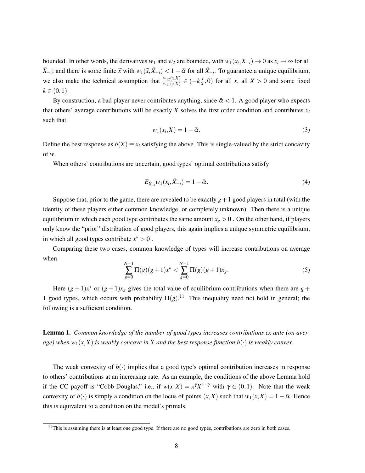bounded. In other words, the derivatives  $w_1$  and  $w_2$  are bounded, with  $w_1(x_i, \bar{X}_{-i}) \to 0$  as  $x_i \to \infty$  for all  $\bar{X}_{-i}$ ; and there is some finite  $\tilde{x}$  with  $w_1(\tilde{x}, \bar{X}_{-i}) < 1 - \bar{\alpha}$  for all  $\bar{X}_{-i}$ . To guarantee a unique equilibrium, we also make the technical assumption that  $\frac{w_{12}(x,X)}{w_{11}(x,X)} \in \left(-k\frac{x}{X}\right)$  $\frac{x}{X}$ , 0) for all *x*, all *X* > 0 and some fixed  $k \in (0,1)$ .

By construction, a bad player never contributes anything, since  $\bar{\alpha}$  < 1. A good player who expects that others' average contributions will be exactly *X* solves the first order condition and contributes  $x_i$ such that

$$
w_1(x_i, X) = 1 - \bar{\alpha}.\tag{3}
$$

Define the best response as  $b(X) \equiv x_i$  satisfying the above. This is single-valued by the strict concavity of *w*.

When others' contributions are uncertain, good types' optimal contributions satisfy

$$
E_{\bar{X}_{-i}}w_1(x_i, \bar{X}_{-i}) = 1 - \bar{\alpha}.
$$
\n(4)

Suppose that, prior to the game, there are revealed to be exactly  $g+1$  good players in total (with the identity of these players either common knowledge, or completely unknown). Then there is a unique equilibrium in which each good type contributes the same amount  $x_g > 0$ . On the other hand, if players only know the "prior" distribution of good players, this again implies a unique symmetric equilibrium, in which all good types contribute  $x^* > 0$ .

Comparing these two cases, common knowledge of types will increase contributions on average when

$$
\sum_{g=0}^{N-1} \Pi(g)(g+1)x^* < \sum_{g=0}^{N-1} \Pi(g)(g+1)x_g. \tag{5}
$$

Here  $(g + 1)x^*$  or  $(g + 1)x_g$  gives the total value of equilibrium contributions when there are  $g +$ 1 good types, which occurs with probability  $\Pi(g)$ .<sup>11</sup> This inequality need not hold in general; the following is a sufficient condition.

Lemma 1. *Common knowledge of the number of good types increases contributions ex ante (on average)* when  $w_1(x, X)$  *is weakly concave in* X and the best response function  $b(\cdot)$  *is weakly convex.* 

The weak convexity of  $b(\cdot)$  implies that a good type's optimal contribution increases in response to others' contributions at an increasing rate. As an example, the conditions of the above Lemma hold if the CC payoff is "Cobb-Douglas," i.e., if  $w(x,X) = x^{\gamma}X^{1-\gamma}$  with  $\gamma \in (0,1)$ . Note that the weak convexity of  $b(\cdot)$  is simply a condition on the locus of points  $(x, X)$  such that  $w_1(x, X) = 1 - \overline{\alpha}$ . Hence this is equivalent to a condition on the model's primals.

 $11$ This is assuming there is at least one good type. If there are no good types, contributions are zero in both cases.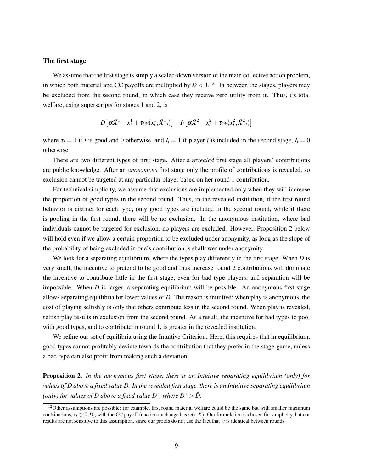### The first stage

We assume that the first stage is simply a scaled-down version of the main collective action problem, in which both material and CC payoffs are multiplied by  $D < 1$ .<sup>12</sup> In between the stages, players may be excluded from the second round, in which case they receive zero utility from it. Thus, *i*'s total welfare, using superscripts for stages 1 and 2, is

$$
D\left[\alpha\bar{X}^1 - x_i^1 + \tau_i w(x_i^1, \bar{X}_{-i}^1)\right] + I_i\left[\alpha\bar{X}^2 - x_i^2 + \tau_i w(x_i^2, \bar{X}_{-i}^2)\right]
$$

where  $\tau_i = 1$  if *i* is good and 0 otherwise, and  $I_i = 1$  if player *i* is included in the second stage,  $I_i = 0$ otherwise.

There are two different types of first stage. After a *revealed* first stage all players' contributions are public knowledge. After an *anonymous* first stage only the profile of contributions is revealed, so exclusion cannot be targeted at any particular player based on her round 1 contribution.

For technical simplicity, we assume that exclusions are implemented only when they will increase the proportion of good types in the second round. Thus, in the revealed institution, if the first round behavior is distinct for each type, only good types are included in the second round, while if there is pooling in the first round, there will be no exclusion. In the anonymous institution, where bad individuals cannot be targeted for exclusion, no players are excluded. However, Proposition 2 below will hold even if we allow a certain proportion to be excluded under anonymity, as long as the slope of the probability of being excluded in one's contribution is shallower under anonymity.

We look for a separating equilibrium, where the types play differently in the first stage. When *D* is very small, the incentive to pretend to be good and thus increase round 2 contributions will dominate the incentive to contribute little in the first stage, even for bad type players, and separation will be impossible. When *D* is larger, a separating equilibrium will be possible. An anonymous first stage allows separating equilibria for lower values of *D*. The reason is intuitive: when play is anonymous, the cost of playing selfishly is only that others contribute less in the second round. When play is revealed, selfish play results in exclusion from the second round. As a result, the incentive for bad types to pool with good types, and to contribute in round 1, is greater in the revealed institution.

We refine our set of equilibria using the Intuitive Criterion. Here, this requires that in equilibrium, good types cannot profitably deviate towards the contribution that they prefer in the stage-game, unless a bad type can also profit from making such a deviation.

Proposition 2. *In the anonymous first stage, there is an Intuitive separating equilibrium (only) for values of D above a fixed value*  $\hat{D}$ *. In the revealed first stage, there is an Intuitive separating equilibrium (only) for values of D above a fixed value D<sup>\*</sup>, where*  $D^* > \hat{D}$ *.* 

<sup>&</sup>lt;sup>12</sup>Other assumptions are possible: for example, first round material welfare could be the same but with smaller maximum contributions,  $x_i \in [0, D]$ , with the CC payoff function unchanged as  $w(x, X)$ . Our formulation is chosen for simplicity, but our results are not sensitive to this assumption, since our proofs do not use the fact that *w* is identical between rounds.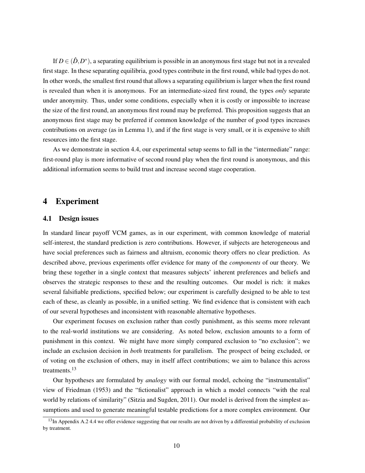If  $D \in (\hat{D}, D^*)$ , a separating equilibrium is possible in an anonymous first stage but not in a revealed first stage. In these separating equilibria, good types contribute in the first round, while bad types do not. In other words, the smallest first round that allows a separating equilibrium is larger when the first round is revealed than when it is anonymous. For an intermediate-sized first round, the types *only* separate under anonymity. Thus, under some conditions, especially when it is costly or impossible to increase the size of the first round, an anonymous first round may be preferred. This proposition suggests that an anonymous first stage may be preferred if common knowledge of the number of good types increases contributions on average (as in Lemma 1), and if the first stage is very small, or it is expensive to shift resources into the first stage.

As we demonstrate in section 4.4, our experimental setup seems to fall in the "intermediate" range: first-round play is more informative of second round play when the first round is anonymous, and this additional information seems to build trust and increase second stage cooperation.

## 4 Experiment

### 4.1 Design issues

In standard linear payoff VCM games, as in our experiment, with common knowledge of material self-interest, the standard prediction is zero contributions. However, if subjects are heterogeneous and have social preferences such as fairness and altruism, economic theory offers no clear prediction. As described above, previous experiments offer evidence for many of the *components* of our theory. We bring these together in a single context that measures subjects' inherent preferences and beliefs and observes the strategic responses to these and the resulting outcomes. Our model is rich: it makes several falsifiable predictions, specified below; our experiment is carefully designed to be able to test each of these, as cleanly as possible, in a unified setting. We find evidence that is consistent with each of our several hypotheses and inconsistent with reasonable alternative hypotheses.

Our experiment focuses on exclusion rather than costly punishment, as this seems more relevant to the real-world institutions we are considering. As noted below, exclusion amounts to a form of punishment in this context. We might have more simply compared exclusion to "no exclusion"; we include an exclusion decision in *both* treatments for parallelism. The prospect of being excluded, or of voting on the exclusion of others, may in itself affect contributions; we aim to balance this across treatments.<sup>13</sup>

Our hypotheses are formulated by *analogy* with our formal model, echoing the "instrumentalist" view of Friedman (1953) and the "fictionalist" approach in which a model connects "with the real world by relations of similarity" (Sitzia and Sugden, 2011). Our model is derived from the simplest assumptions and used to generate meaningful testable predictions for a more complex environment. Our

 $^{13}$ In Appendix A.2 4.4 we offer evidence suggesting that our results are not driven by a differential probability of exclusion by treatment.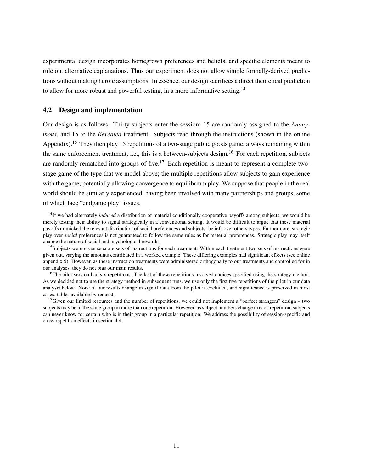experimental design incorporates homegrown preferences and beliefs, and specific elements meant to rule out alternative explanations. Thus our experiment does not allow simple formally-derived predictions without making heroic assumptions. In essence, our design sacrifices a direct theoretical prediction to allow for more robust and powerful testing, in a more informative setting.<sup>14</sup>

## 4.2 Design and implementation

Our design is as follows. Thirty subjects enter the session; 15 are randomly assigned to the *Anonymous*, and 15 to the *Revealed* treatment. Subjects read through the instructions (shown in the online Appendix).<sup>15</sup> They then play 15 repetitions of a two-stage public goods game, always remaining within the same enforcement treatment, i.e., this is a between-subjects design.<sup>16</sup> For each repetition, subjects are randomly rematched into groups of five.<sup>17</sup> Each repetition is meant to represent a complete twostage game of the type that we model above; the multiple repetitions allow subjects to gain experience with the game, potentially allowing convergence to equilibrium play. We suppose that people in the real world should be similarly experienced, having been involved with many partnerships and groups, some of which face "endgame play" issues.

<sup>&</sup>lt;sup>14</sup>If we had alternately *induced* a distribution of material conditionally cooperative payoffs among subjects, we would be merely testing their ability to signal strategically in a conventional setting. It would be difficult to argue that these material payoffs mimicked the relevant distribution of social preferences and subjects' beliefs over others types. Furthermore, strategic play over *social* preferences is not guaranteed to follow the same rules as for material preferences. Strategic play may itself change the nature of social and psychological rewards.

<sup>&</sup>lt;sup>15</sup>Subjects were given separate sets of instructions for each treatment. Within each treatment two sets of instructions were given out, varying the amounts contributed in a worked example. These differing examples had significant effects (see online appendix 5). However, as these instruction treatments were administered orthogonally to our treatments and controlled for in our analyses, they do not bias our main results.

 $^{16}$ The pilot version had six repetitions. The last of these repetitions involved choices specified using the strategy method. As we decided not to use the strategy method in subsequent runs, we use only the first five repetitions of the pilot in our data analysis below. None of our results change in sign if data from the pilot is excluded, and significance is preserved in most cases; tables available by request.

<sup>&</sup>lt;sup>17</sup>Given our limited resources and the number of repetitions, we could not implement a "perfect strangers" design – two subjects may be in the same group in more than one repetition. However, as subject numbers change in each repetition, subjects can never know for certain who is in their group in a particular repetition. We address the possibility of session-specific and cross-repetition effects in section 4.4.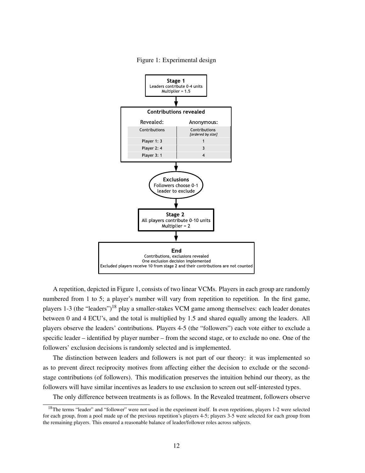

Figure 1: Experimental design

A repetition, depicted in Figure 1, consists of two linear VCMs. Players in each group are randomly numbered from 1 to 5; a player's number will vary from repetition to repetition. In the first game, players 1-3 (the "leaders")<sup>18</sup> play a smaller-stakes VCM game among themselves: each leader donates between 0 and 4 ECU's, and the total is multiplied by 1.5 and shared equally among the leaders. All players observe the leaders' contributions. Players 4-5 (the "followers") each vote either to exclude a specific leader – identified by player number – from the second stage, or to exclude no one. One of the followers' exclusion decisions is randomly selected and is implemented.

The distinction between leaders and followers is not part of our theory: it was implemented so as to prevent direct reciprocity motives from affecting either the decision to exclude or the secondstage contributions (of followers). This modification preserves the intuition behind our theory, as the followers will have similar incentives as leaders to use exclusion to screen out self-interested types.

The only difference between treatments is as follows. In the Revealed treatment, followers observe

<sup>&</sup>lt;sup>18</sup>The terms "leader" and "follower" were not used in the experiment itself. In even repetitions, players 1-2 were selected for each group, from a pool made up of the previous repetition's players 4-5; players 3-5 were selected for each group from the remaining players. This ensured a reasonable balance of leader/follower roles across subjects.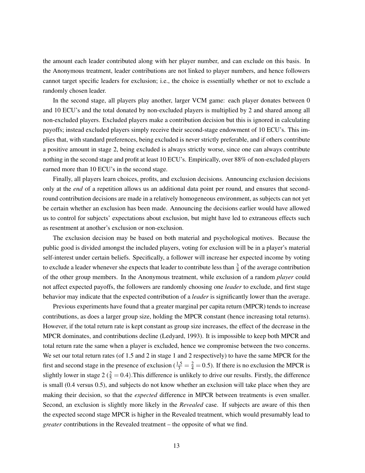the amount each leader contributed along with her player number, and can exclude on this basis. In the Anonymous treatment, leader contributions are not linked to player numbers, and hence followers cannot target specific leaders for exclusion; i.e., the choice is essentially whether or not to exclude a randomly chosen leader.

In the second stage, all players play another, larger VCM game: each player donates between 0 and 10 ECU's and the total donated by non-excluded players is multiplied by 2 and shared among all non-excluded players. Excluded players make a contribution decision but this is ignored in calculating payoffs; instead excluded players simply receive their second-stage endowment of 10 ECU's. This implies that, with standard preferences, being excluded is never strictly preferable, and if others contribute a positive amount in stage 2, being excluded is always strictly worse, since one can always contribute nothing in the second stage and profit at least 10 ECU's. Empirically, over 88% of non-excluded players earned more than 10 ECU's in the second stage.

Finally, all players learn choices, profits, and exclusion decisions. Announcing exclusion decisions only at the *end* of a repetition allows us an additional data point per round, and ensures that secondround contribution decisions are made in a relatively homogeneous environment, as subjects can not yet be certain whether an exclusion has been made. Announcing the decisions earlier would have allowed us to control for subjects' expectations about exclusion, but might have led to extraneous effects such as resentment at another's exclusion or non-exclusion.

The exclusion decision may be based on both material and psychological motives. Because the public good is divided amongst the included players, voting for exclusion will be in a player's material self-interest under certain beliefs. Specifically, a follower will increase her expected income by voting to exclude a leader whenever she expects that leader to contribute less than  $\frac{3}{4}$  of the average contribution of the other group members. In the Anonymous treatment, while exclusion of a random *player* could not affect expected payoffs, the followers are randomly choosing one *leader* to exclude, and first stage behavior may indicate that the expected contribution of a *leader* is significantly lower than the average.

Previous experiments have found that a greater marginal per capita return (MPCR) tends to increase contributions, as does a larger group size, holding the MPCR constant (hence increasing total returns). However, if the total return rate is kept constant as group size increases, the effect of the decrease in the MPCR dominates, and contributions decline (Ledyard, 1993). It is impossible to keep both MPCR and total return rate the same when a player is excluded, hence we compromise between the two concerns. We set our total return rates (of 1.5 and 2 in stage 1 and 2 respectively) to have the same MPCR for the first and second stage in the presence of exclusion  $(\frac{1.5}{3} = \frac{2}{4} = 0.5)$ . If there is no exclusion the MPCR is slightly lower in stage 2 ( $\frac{2}{5}$  = 0.4). This difference is unlikely to drive our results. Firstly, the difference is small (0.4 versus 0.5), and subjects do not know whether an exclusion will take place when they are making their decision, so that the *expected* difference in MPCR between treatments is even smaller. Second, an exclusion is slightly more likely in the *Revealed* case. If subjects are aware of this then the expected second stage MPCR is higher in the Revealed treatment, which would presumably lead to *greater* contributions in the Revealed treatment – the opposite of what we find.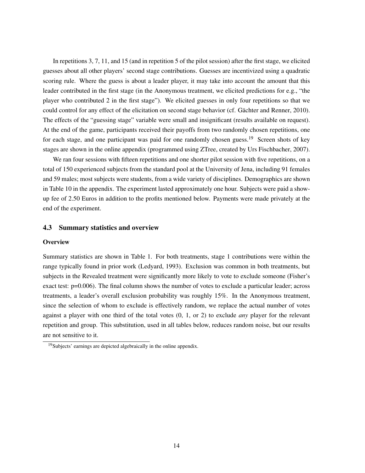In repetitions 3, 7, 11, and 15 (and in repetition 5 of the pilot session) after the first stage, we elicited guesses about all other players' second stage contributions. Guesses are incentivized using a quadratic scoring rule. Where the guess is about a leader player, it may take into account the amount that this leader contributed in the first stage (in the Anonymous treatment, we elicited predictions for e.g., "the player who contributed 2 in the first stage"). We elicited guesses in only four repetitions so that we could control for any effect of the elicitation on second stage behavior (cf. Gächter and Renner, 2010). The effects of the "guessing stage" variable were small and insignificant (results available on request). At the end of the game, participants received their payoffs from two randomly chosen repetitions, one for each stage, and one participant was paid for one randomly chosen guess.<sup>19</sup> Screen shots of key stages are shown in the online appendix (programmed using ZTree, created by Urs Fischbacher, 2007).

We ran four sessions with fifteen repetitions and one shorter pilot session with five repetitions, on a total of 150 experienced subjects from the standard pool at the University of Jena, including 91 females and 59 males; most subjects were students, from a wide variety of disciplines. Demographics are shown in Table 10 in the appendix. The experiment lasted approximately one hour. Subjects were paid a showup fee of 2.50 Euros in addition to the profits mentioned below. Payments were made privately at the end of the experiment.

## 4.3 Summary statistics and overview

#### **Overview**

Summary statistics are shown in Table 1. For both treatments, stage 1 contributions were within the range typically found in prior work (Ledyard, 1993). Exclusion was common in both treatments, but subjects in the Revealed treatment were significantly more likely to vote to exclude someone (Fisher's exact test: p=0.006). The final column shows the number of votes to exclude a particular leader; across treatments, a leader's overall exclusion probability was roughly 15%. In the Anonymous treatment, since the selection of whom to exclude is effectively random, we replace the actual number of votes against a player with one third of the total votes (0, 1, or 2) to exclude *any* player for the relevant repetition and group. This substitution, used in all tables below, reduces random noise, but our results are not sensitive to it.

<sup>19</sup>Subjects' earnings are depicted algebraically in the online appendix.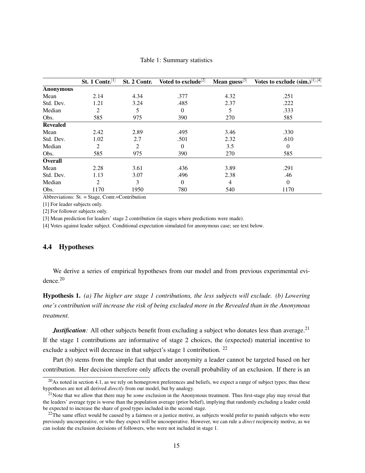|                  | St. 1 Contr. $[1]$ | St. 2 Contr.   | Voted to exclude <sup>[2]</sup> | Mean guess $[3]$ | Votes to exclude $(sim.)^{[1],[4]}$ |
|------------------|--------------------|----------------|---------------------------------|------------------|-------------------------------------|
| <b>Anonymous</b> |                    |                |                                 |                  |                                     |
| Mean             | 2.14               | 4.34           | .377                            | 4.32             | .251                                |
| Std. Dev.        | 1.21               | 3.24           | .485                            | 2.37             | .222                                |
| Median           | 2                  | 5              | $\overline{0}$                  | 5                | .333                                |
| Obs.             | 585                | 975            | 390                             | 270              | 585                                 |
| <b>Revealed</b>  |                    |                |                                 |                  |                                     |
| Mean             | 2.42               | 2.89           | .495                            | 3.46             | .330                                |
| Std. Dev.        | 1.02               | 2.7            | .501                            | 2.32             | .610                                |
| Median           | 2                  | $\overline{2}$ | $\theta$                        | 3.5              | $\theta$                            |
| Obs.             | 585                | 975            | 390                             | 270              | 585                                 |
| <b>Overall</b>   |                    |                |                                 |                  |                                     |
| Mean             | 2.28               | 3.61           | .436                            | 3.89             | .291                                |
| Std. Dev.        | 1.13               | 3.07           | .496                            | 2.38             | .46                                 |
| Median           | $\mathfrak{D}$     | 3              | $\theta$                        | 4                | $\Omega$                            |
| Obs.             | 1170               | 1950           | 780                             | 540              | 1170                                |

### Table 1: Summary statistics

Abbreviations: St. = Stage, Contr.=Contribution

[1] For leader subjects only.

[2] For follower subjects only.

[3] Mean prediction for leaders' stage 2 contribution (in stages where predictions were made).

[4] Votes against leader subject. Conditional expectation simulated for anonymous case; see text below.

## 4.4 Hypotheses

We derive a series of empirical hypotheses from our model and from previous experimental evidence.<sup>20</sup>

Hypothesis 1. *(a) The higher are stage 1 contributions, the less subjects will exclude. (b) Lowering one's contribution will increase the risk of being excluded more in the Revealed than in the Anonymous treatment.*

*Justification*: All other subjects benefit from excluding a subject who donates less than average.<sup>21</sup> If the stage 1 contributions are informative of stage 2 choices, the (expected) material incentive to exclude a subject will decrease in that subject's stage 1 contribution. <sup>22</sup>

Part (b) stems from the simple fact that under anonymity a leader cannot be targeted based on her contribution. Her decision therefore only affects the overall probability of an exclusion. If there is an

 $^{20}$ As noted in section 4.1, as we rely on homegrown preferences and beliefs, we expect a range of subject types; thus these hypotheses are not all derived *directly* from our model, but by analogy.

<sup>&</sup>lt;sup>21</sup>Note that we allow that there may be *some* exclusion in the Anonymous treatment. Thus first-stage play may reveal that the leaders' average type is worse than the population average (prior belief), implying that randomly excluding a leader could be expected to increase the share of good types included in the second stage.

 $^{22}$ The same effect would be caused by a fairness or a justice motive, as subjects would prefer to punish subjects who were previously uncooperative, or who they expect will be uncooperative. However, we can rule a *direct* reciprocity motive, as we can isolate the exclusion decisions of followers, who were not included in stage 1.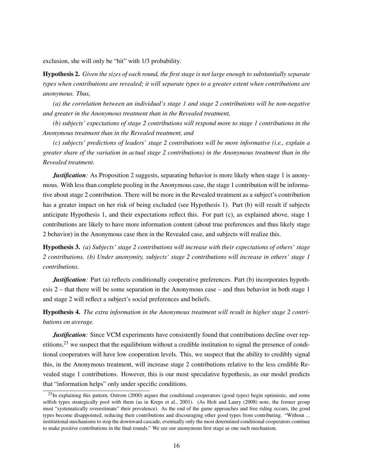exclusion, she will only be "hit" with 1/3 probability.

Hypothesis 2. *Given the sizes of each round, the first stage is not large enough to substantially separate types when contributions are revealed; it will separate types to a greater extent when contributions are anonymous. Thus,*

*(a) the correlation between an individual's stage 1 and stage 2 contributions will be non-negative and greater in the Anonymous treatment than in the Revealed treatment,*

*(b) subjects' expectations of stage 2 contributions will respond more to stage 1 contributions in the Anonymous treatment than in the Revealed treatment, and*

*(c) subjects' predictions of leaders' stage 2 contributions will be more informative (i.e., explain a greater share of the variation in actual stage 2 contributions) in the Anonymous treatment than in the Revealed treatment.*

*Justification*: As Proposition 2 suggests, separating behavior is more likely when stage 1 is anonymous. With less than complete pooling in the Anonymous case, the stage 1 contribution will be informative about stage 2 contribution. There will be more in the Revealed treatment as a subject's contribution has a greater impact on her risk of being excluded (see Hypothesis 1). Part (b) will result if subjects anticipate Hypothesis 1, and their expectations reflect this. For part (c), as explained above, stage 1 contributions are likely to have more information content (about true preferences and thus likely stage 2 behavior) in the Anonymous case then in the Revealed case, and subjects will realize this.

Hypothesis 3. *(a) Subjects' stage 2 contributions will increase with their expectations of others' stage 2 contributions. (b) Under anonymity, subjects' stage 2 contributions will increase in others' stage 1 contributions.*

*Justification*: Part (a) reflects conditionally cooperative preferences. Part (b) incorporates hypothesis 2 – that there will be some separation in the Anonymous case – and thus behavior in both stage 1 and stage 2 will reflect a subject's social preferences and beliefs.

Hypothesis 4. *The extra information in the Anonymous treatment will result in higher stage 2 contributions on average.*

*Justification*: Since VCM experiments have consistently found that contributions decline over repetitions,<sup>23</sup> we suspect that the equilibrium without a credible institution to signal the presence of conditional cooperators will have low cooperation levels. This, we suspect that the ability to credibly signal this, in the Anonymous treatment, will increase stage 2 contributions relative to the less credible Revealed stage 1 contributions. However, this is our most speculative hypothesis, as our model predicts that "information helps" only under specific conditions.

 $^{23}$ In explaining this pattern, Ostrom (2000) argues that conditional cooperators (good types) begin optimistic, and some selfish types strategically pool with them (as in Kreps et al., 2001). (As Holt and Laury (2008) note, the former group must "systematically overestimate" their prevalence). As the end of the game approaches and free riding occurs, the good types become disappointed, reducing their contributions and discouraging other good types from contributing. "Without ... institutional mechanisms to stop the downward cascade, eventually only the most determined conditional cooperators continue to make positive contributions in the final rounds." We see our anonymous first stage as one such mechanism.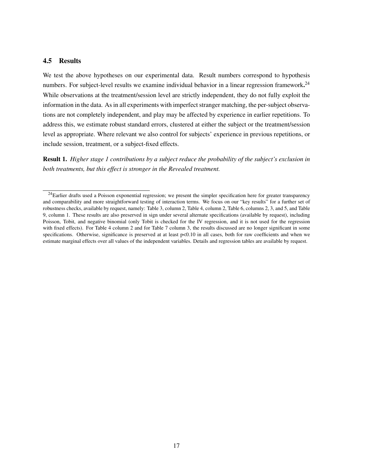## 4.5 Results

We test the above hypotheses on our experimental data. Result numbers correspond to hypothesis numbers. For subject-level results we examine individual behavior in a linear regression framework.<sup>24</sup> While observations at the treatment/session level are strictly independent, they do not fully exploit the information in the data. As in all experiments with imperfect stranger matching, the per-subject observations are not completely independent, and play may be affected by experience in earlier repetitions. To address this, we estimate robust standard errors, clustered at either the subject or the treatment/session level as appropriate. Where relevant we also control for subjects' experience in previous repetitions, or include session, treatment, or a subject-fixed effects.

Result 1. *Higher stage 1 contributions by a subject reduce the probability of the subject's exclusion in both treatments, but this effect is stronger in the Revealed treatment.*

 $24$ Earlier drafts used a Poisson exponential regression; we present the simpler specification here for greater transparency and comparability and more straightforward testing of interaction terms. We focus on our "key results" for a further set of robustness checks, available by request, namely: Table 3, column 2, Table 4, column 2, Table 6, columns 2, 3, and 5, and Table 9, column 1. These results are also preserved in sign under several alternate specifications (available by request), including Poisson, Tobit, and negative binomial (only Tobit is checked for the IV regression, and it is not used for the regression with fixed effects). For Table 4 column 2 and for Table 7 column 3, the results discussed are no longer significant in some specifications. Otherwise, significance is preserved at at least  $p<0.10$  in all cases, both for raw coefficients and when we estimate marginal effects over all values of the independent variables. Details and regression tables are available by request.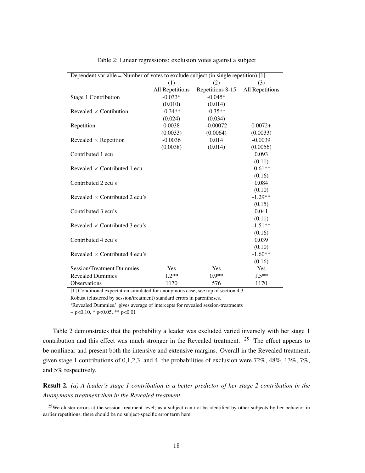|                                       | Dependent variable = Number of votes to exclude subject (in single repetition).[1] |                  |                 |  |  |  |  |  |
|---------------------------------------|------------------------------------------------------------------------------------|------------------|-----------------|--|--|--|--|--|
|                                       | (1)                                                                                | (2)              | (3)             |  |  |  |  |  |
|                                       | All Repetitions                                                                    | Repetitions 8-15 | All Repetitions |  |  |  |  |  |
| Stage 1 Contribution                  | $-0.033*$                                                                          | $-0.045*$        |                 |  |  |  |  |  |
|                                       | (0.010)                                                                            | (0.014)          |                 |  |  |  |  |  |
| Revealed $\times$ Contibution         | $-0.34**$                                                                          | $-0.35**$        |                 |  |  |  |  |  |
|                                       | (0.024)                                                                            | (0.034)          |                 |  |  |  |  |  |
| Repetition                            | 0.0038                                                                             | $-0.00072$       | $0.0072+$       |  |  |  |  |  |
|                                       | (0.0033)                                                                           | (0.0064)         | (0.0033)        |  |  |  |  |  |
| Revealed $\times$ Repetition          | $-0.0036$                                                                          | 0.014            | $-0.0039$       |  |  |  |  |  |
|                                       | (0.0038)                                                                           | (0.014)          | (0.0056)        |  |  |  |  |  |
| Contributed 1 ecu                     |                                                                                    |                  | 0.093           |  |  |  |  |  |
|                                       |                                                                                    |                  | (0.11)          |  |  |  |  |  |
| Revealed $\times$ Contributed 1 ecu   |                                                                                    |                  | $-0.61**$       |  |  |  |  |  |
|                                       |                                                                                    |                  | (0.16)          |  |  |  |  |  |
| Contributed 2 ecu's                   |                                                                                    |                  | 0.084           |  |  |  |  |  |
|                                       |                                                                                    |                  | (0.10)          |  |  |  |  |  |
| Revealed $\times$ Contributed 2 ecu's |                                                                                    |                  | $-1.29**$       |  |  |  |  |  |
|                                       |                                                                                    |                  | (0.15)          |  |  |  |  |  |
| Contributed 3 ecu's                   |                                                                                    |                  | 0.041           |  |  |  |  |  |
|                                       |                                                                                    |                  | (0.11)          |  |  |  |  |  |
| Revealed $\times$ Contributed 3 ecu's |                                                                                    |                  | $-1.51**$       |  |  |  |  |  |
|                                       |                                                                                    |                  | (0.16)          |  |  |  |  |  |
| Contributed 4 ecu's                   |                                                                                    |                  | 0.039           |  |  |  |  |  |
|                                       |                                                                                    |                  | (0.10)          |  |  |  |  |  |
| Revealed $\times$ Contributed 4 ecu's |                                                                                    |                  | $-1.60**$       |  |  |  |  |  |
|                                       |                                                                                    |                  | (0.16)          |  |  |  |  |  |
| <b>Session/Treatment Dummies</b>      | Yes                                                                                | Yes              | Yes             |  |  |  |  |  |
| <b>Revealed Dummies</b>               | $1.2**$                                                                            | $0.9**$          | $1.5***$        |  |  |  |  |  |
| Observations                          | 1170                                                                               | 576              | 1170            |  |  |  |  |  |

Table 2: Linear regressions: exclusion votes against a subject

[1] Conditional expectation simulated for anonymous case; see top of section 4.3. Robust (clustered by session/treatment) standard errors in parentheses.

'Revealed Dummies.' gives average of intercepts for revealed session-treatments

 $+$  p<0.10, \* p<0.05, \*\* p<0.01

Table 2 demonstrates that the probability a leader was excluded varied inversely with her stage 1 contribution and this effect was much stronger in the Revealed treatment. <sup>25</sup> The effect appears to be nonlinear and present both the intensive and extensive margins. Overall in the Revealed treatment, given stage 1 contributions of 0,1,2,3, and 4, the probabilities of exclusion were  $72\%, 48\%, 13\%, 7\%$ , and 5% respectively.

Result 2. *(a) A leader's stage 1 contribution is a better predictor of her stage 2 contribution in the Anonymous treatment then in the Revealed treatment.*

<sup>&</sup>lt;sup>25</sup>We cluster errors at the session-treatment level; as a subject can not be identified by other subjects by her behavior in earlier repetitions, there should be no subject-specific error term here.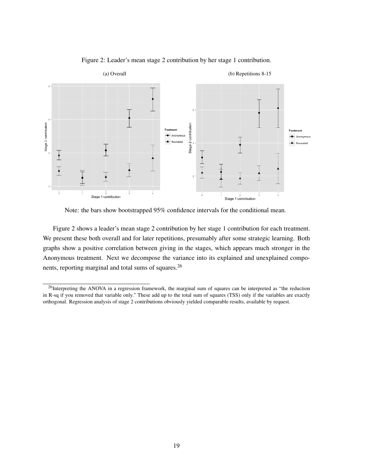

Figure 2: Leader's mean stage 2 contribution by her stage 1 contribution.

Note: the bars show bootstrapped 95% confidence intervals for the conditional mean.

Figure 2 shows a leader's mean stage 2 contribution by her stage 1 contribution for each treatment. We present these both overall and for later repetitions, presumably after some strategic learning. Both graphs show a positive correlation between giving in the stages, which appears much stronger in the Anonymous treatment. Next we decompose the variance into its explained and unexplained components, reporting marginal and total sums of squares.<sup>26</sup>

<sup>&</sup>lt;sup>26</sup>Interpreting the ANOVA in a regression framework, the marginal sum of squares can be interpreted as "the reduction in R-sq if you removed that variable only." These add up to the total sum of squares (TSS) only if the variables are exactly orthogonal. Regression analysis of stage 2 contributions obviously yielded comparable results, available by request.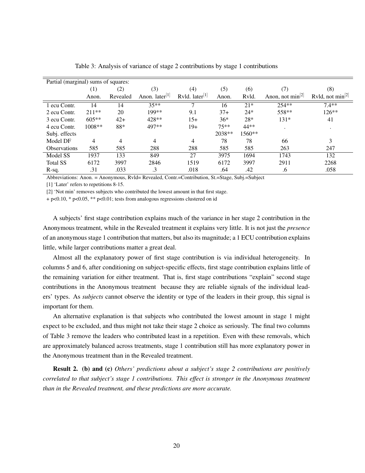| Partial (marginal) sums of squares: |                   |          |                            |                   |        |        |                        |                       |
|-------------------------------------|-------------------|----------|----------------------------|-------------------|--------|--------|------------------------|-----------------------|
|                                     | $\left( 1\right)$ | (2)      | (3)                        | $\left( 4\right)$ | (5)    | (6)    | (7)                    | (8)                   |
|                                     | Anon.             | Revealed | Anon. later <sup>[1]</sup> | Rvld. $later[1]$  | Anon.  | Rvld.  | Anon, not $\min^{[2]}$ | Rvld, not $min^{[2]}$ |
| 1 ecu Contr.                        | 14                | 14       | $35**$                     | 7                 | 16     | $21*$  | $254**$                | $7.4**$               |
| 2 ecu Contr.                        | $211**$           | 20       | 199**                      | 9.1               | $37+$  | $24*$  | 558**                  | 126**                 |
| 3 ecu Contr.                        | $605**$           | $42+$    | 428**                      | $15+$             | $36*$  | $28*$  | $131*$                 | 41                    |
| 4 ecu Contr.                        | 1008**            | 88*      | 497**                      | $19+$             | $75**$ | 44**   | ٠                      | $\cdot$               |
| Subj. effects                       |                   |          |                            |                   | 2038** | 1560** |                        |                       |
| Model DF                            | 4                 | 4        | 4                          | 4                 | 78     | 78     | 66                     | 3                     |
| <b>Observations</b>                 | 585               | 585      | 288                        | 288               | 585    | 585    | 263                    | 247                   |
| Model SS                            | 1937              | 133      | 849                        | 27                | 3975   | 1694   | 1743                   | 132                   |
| <b>Total SS</b>                     | 6172              | 3997     | 2846                       | 1519              | 6172   | 3997   | 2911                   | 2268                  |
| R-sq.                               | .31               | .033     | .3                         | .018              | .64    | .42    | .6                     | .058                  |

Table 3: Analysis of variance of stage 2 contributions by stage 1 contributions

Abbreviations: Anon. = Anonymous, Rvld= Revealed, Contr.=Contribution, St.=Stage, Subj.=Subject

[1] 'Later' refers to repetitions 8-15.

[2] 'Not min' removes subjects who contributed the lowest amount in that first stage.

+ p<0.10, \* p<0.05, \*\* p<0.01; tests from analogous regressions clustered on id

A subjects' first stage contribution explains much of the variance in her stage 2 contribution in the Anonymous treatment, while in the Revealed treatment it explains very little. It is not just the *presence* of an anonymous stage 1 contribution that matters, but also its magnitude; a 1 ECU contribution explains little, while larger contributions matter a great deal.

Almost all the explanatory power of first stage contribution is via individual heterogeneity. In columns 5 and 6, after conditioning on subject-specific effects, first stage contribution explains little of the remaining variation for either treatment. That is, first stage contributions "explain" second stage contributions in the Anonymous treatment because they are reliable signals of the individual leaders' types. As *subjects* cannot observe the identity or type of the leaders in their group, this signal is important for them.

An alternative explanation is that subjects who contributed the lowest amount in stage 1 might expect to be excluded, and thus might not take their stage 2 choice as seriously. The final two columns of Table 3 remove the leaders who contributed least in a repetition. Even with these removals, which are approximately balanced across treatments, stage 1 contribution still has more explanatory power in the Anonymous treatment than in the Revealed treatment.

Result 2. (b) and (c) *Others' predictions about a subject's stage 2 contributions are positively correlated to that subject's stage 1 contributions. This effect is stronger in the Anonymous treatment than in the Revealed treatment, and these predictions are more accurate.*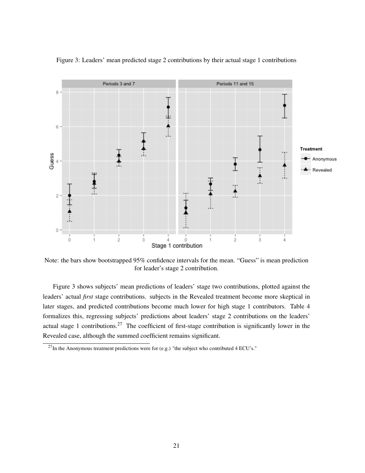

Figure 3: Leaders' mean predicted stage 2 contributions by their actual stage 1 contributions

Note: the bars show bootstrapped 95% confidence intervals for the mean. "Guess" is mean prediction for leader's stage 2 contribution.

Figure 3 shows subjects' mean predictions of leaders' stage two contributions, plotted against the leaders' actual *first* stage contributions. subjects in the Revealed treatment become more skeptical in later stages, and predicted contributions become much lower for high stage 1 contributors. Table 4 formalizes this, regressing subjects' predictions about leaders' stage 2 contributions on the leaders' actual stage 1 contributions.<sup>27</sup> The coefficient of first-stage contribution is significantly lower in the Revealed case, although the summed coefficient remains significant.

 $^{27}$ In the Anonymous treatment predictions were for (e.g.) "the subject who contributed 4 ECU's."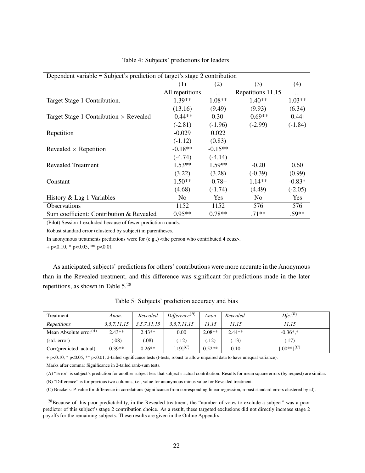| Dependent variable = Subject's prediction of target's stage 2 contribution |                 |           |                   |            |  |  |
|----------------------------------------------------------------------------|-----------------|-----------|-------------------|------------|--|--|
|                                                                            | (1)             | (2)       | (3)               | (4)        |  |  |
|                                                                            | All repetitions |           | Repetitions 11,15 |            |  |  |
| Target Stage 1 Contribution.                                               | $1.39**$        | $1.08**$  | $1.40**$          | $1.03**$   |  |  |
|                                                                            | (13.16)         | (9.49)    | (9.93)            | (6.34)     |  |  |
| Target Stage 1 Contribution $\times$ Revealed                              | $-0.44**$       | $-0.30+$  | $-0.69**$         | $-0.44+$   |  |  |
|                                                                            | $(-2.81)$       | $(-1.96)$ | $(-2.99)$         | $(-1.84)$  |  |  |
| Repetition                                                                 | $-0.029$        | 0.022     |                   |            |  |  |
|                                                                            | $(-1.12)$       | (0.83)    |                   |            |  |  |
| Revealed $\times$ Repetition                                               | $-0.18**$       | $-0.15**$ |                   |            |  |  |
|                                                                            | $(-4.74)$       | $(-4.14)$ |                   |            |  |  |
| Revealed Treatment                                                         | $1.53**$        | $1.59**$  | $-0.20$           | 0.60       |  |  |
|                                                                            | (3.22)          | (3.28)    | $(-0.39)$         | (0.99)     |  |  |
| Constant                                                                   | $1.50**$        | $-0.78+$  | $1.14**$          | $-0.83*$   |  |  |
|                                                                            | (4.68)          | $(-1.74)$ | (4.49)            | $(-2.05)$  |  |  |
| History & Lag 1 Variables                                                  | N <sub>0</sub>  | Yes.      | N <sub>0</sub>    | <b>Yes</b> |  |  |
| <b>Observations</b>                                                        | 1152            | 1152      | 576               | 576        |  |  |
| Sum coefficient: Contribution & Revealed                                   | $0.95**$        | $0.78**$  | $.71**$           | $.59**$    |  |  |

Table 4: Subjects' predictions for leaders

(Pilot) Session 1 excluded because of fewer prediction rounds.

Robust standard error (clustered by subject) in parentheses.

In anonymous treatments predictions were for  $(e.g.,)$  <the person who contributed 4 ecus>.

 $+$  p<0.10, \* p<0.05, \*\* p<0.01

As anticipated, subjects' predictions for others' contributions were more accurate in the Anonymous than in the Revealed treatment, and this difference was significant for predictions made in the later repetitions, as shown in Table 5.<sup>28</sup>

| Treatment                | Anon.           | Revealed    | Difference <sup>(B)</sup> | Anon     | Revealed | $D\!f\!c.}^{(B)}$ |
|--------------------------|-----------------|-------------|---------------------------|----------|----------|-------------------|
| <i>Repetitions</i>       | 3, 5, 7, 11, 15 | 3,5,7,11,15 | 3, 5, 7, 11, 15           | 11,15    | 11,15    | 11,15             |
| Mean Absolute $error(A)$ | $2.43**$        | $2.43**$    | 0.00                      | $2.08**$ | $2.44**$ | $-0.36$ *.*       |
| (stat. error)            | .08)            | .08)        | (12)                      | .12)     | (.13)    | (.17              |
| Corr(predicted, actual)  | $0.39**$        | $0.26**$    | .19 $[0, 19]$             | $0.52**$ | 0.10     | $[.00**]^{(C)}$   |

Table 5: Subjects' prediction accuracy and bias

+ p<0.10, \* p<0.05, \*\* p<0.01, 2-tailed significance tests (t-tests, robust to allow unpaired data to have unequal variance).

Marks after comma: Significance in 2-tailed rank-sum tests.

(A) "Error" is subject's prediction for another subject less that subject's actual contribution. Results for mean square errors (by request) are similar.

(B) "Difference" is for previous two columns, i.e., value for anonymous minus value for Revealed treatment.

(C) Brackets: P-value for difference in correlations (significance from corresponding linear regression, robust standard errors clustered by id).

<sup>&</sup>lt;sup>28</sup>Because of this poor predictability, in the Revealed treatment, the "number of votes to exclude a subject" was a poor predictor of this subject's stage 2 contribution choice. As a result, these targeted exclusions did not directly increase stage 2 payoffs for the remaining subjects. These results are given in the Online Appendix.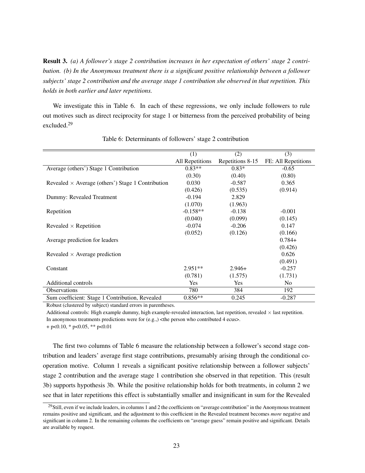Result 3. *(a) A follower's stage 2 contribution increases in her expectation of others' stage 2 contribution. (b) In the Anonymous treatment there is a significant positive relationship between a follower subjects' stage 2 contribution and the average stage 1 contribution she observed in that repetition. This holds in both earlier and later repetitions.*

We investigate this in Table 6. In each of these regressions, we only include followers to rule out motives such as direct reciprocity for stage 1 or bitterness from the perceived probability of being excluded.<sup>29</sup>

|                                                          | (1)             | (2)              | (3)                 |
|----------------------------------------------------------|-----------------|------------------|---------------------|
|                                                          | All Repetitions | Repetitions 8-15 | FE: All Repetitions |
| Average (others') Stage 1 Contribution                   | $0.83**$        | $0.83*$          | $-0.65$             |
|                                                          | (0.30)          | (0.40)           | (0.80)              |
| Revealed $\times$ Average (others') Stage 1 Contribution | 0.030           | $-0.587$         | 0.365               |
|                                                          | (0.426)         | (0.535)          | (0.914)             |
| Dummy: Revealed Treatment                                | $-0.194$        | 2.829            |                     |
|                                                          | (1.070)         | (1.963)          |                     |
| Repetition                                               | $-0.158**$      | $-0.138$         | $-0.001$            |
|                                                          | (0.040)         | (0.099)          | (0.145)             |
| Revealed $\times$ Repetition                             | $-0.074$        | $-0.206$         | 0.147               |
|                                                          | (0.052)         | (0.126)          | (0.166)             |
| Average prediction for leaders                           |                 |                  | $0.784+$            |
|                                                          |                 |                  | (0.426)             |
| Revealed $\times$ Average prediction                     |                 |                  | 0.626               |
|                                                          |                 |                  | (0.491)             |
| Constant                                                 | $2.951**$       | $2.946+$         | $-0.257$            |
|                                                          | (0.781)         | (1.575)          | (1.731)             |
| <b>Additional controls</b>                               | Yes             | <b>Yes</b>       | N <sub>0</sub>      |
| Observations                                             | 780             | 384              | 192                 |
| Sum coefficient: Stage 1 Contribution, Revealed          | $0.856**$       | 0.245            | $-0.287$            |

Table 6: Determinants of followers' stage 2 contribution

Robust (clustered by subject) standard errors in parentheses.

Additional controls: High example dummy, high example-revealed interaction, last repetition, revealed  $\times$  last repetition. In anonymous treatments predictions were for  $(e.g.,)$  <the person who contributed 4 ecus>.

 $+$  p<0.10,  $*$  p<0.05,  $**$  p<0.01

The first two columns of Table 6 measure the relationship between a follower's second stage contribution and leaders' average first stage contributions, presumably arising through the conditional cooperation motive. Column 1 reveals a significant positive relationship between a follower subjects' stage 2 contribution and the average stage 1 contribution she observed in that repetition. This (result 3b) supports hypothesis 3b. While the positive relationship holds for both treatments, in column 2 we see that in later repetitions this effect is substantially smaller and insignificant in sum for the Revealed

<sup>&</sup>lt;sup>29</sup>Still, even if we include leaders, in columns 1 and 2 the coefficients on "average contribution" in the Anonymous treatment remains positive and significant, and the adjustment to this coefficient in the Revealed treatment becomes *more* negative and significant in column 2. In the remaining columns the coefficients on "average guess" remain positive and significant. Details are available by request.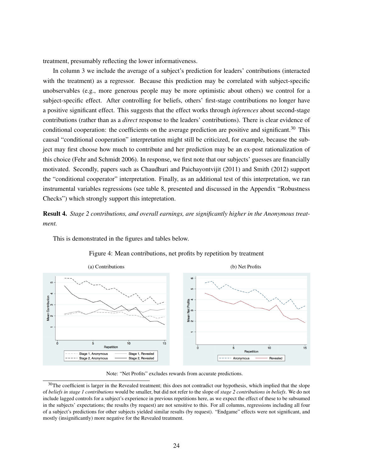treatment, presumably reflecting the lower informativeness.

This is demonstrated in the figures and tables below.

In column 3 we include the average of a subject's prediction for leaders' contributions (interacted with the treatment) as a regressor. Because this prediction may be correlated with subject-specific unobservables (e.g., more generous people may be more optimistic about others) we control for a subject-specific effect. After controlling for beliefs, others' first-stage contributions no longer have a positive significant effect. This suggests that the effect works through *inferences* about second-stage contributions (rather than as a *direct* response to the leaders' contributions). There is clear evidence of conditional cooperation: the coefficients on the average prediction are positive and significant.<sup>30</sup> This causal "conditional cooperation" interpretation might still be criticized, for example, because the subject may first choose how much to contribute and her prediction may be an ex-post rationalization of this choice (Fehr and Schmidt 2006). In response, we first note that our subjects' guesses are financially motivated. Secondly, papers such as Chaudhuri and Paichayontvijit (2011) and Smith (2012) support the "conditional cooperator" interpretation. Finally, as an additional test of this interpretation, we ran instrumental variables regressions (see table 8, presented and discussed in the Appendix "Robustness Checks") which strongly support this intepretation.

Result 4. *Stage 2 contributions, and overall earnings, are significantly higher in the Anonymous treatment.*



Figure 4: Mean contributions, net profits by repetition by treatment

Note: "Net Profits" excludes rewards from accurate predictions.

<sup>&</sup>lt;sup>30</sup>The coefficient is larger in the Revealed treatment; this does not contradict our hypothesis, which implied that the slope of *beliefs in stage 1 contributions* would be smaller, but did not refer to the slope of *stage 2 contributions in beliefs*. We do not include lagged controls for a subject's experience in previous repetitions here, as we expect the effect of these to be subsumed in the subjects' expectations; the results (by request) are not sensitive to this. For all columns, regressions including all four of a subject's predictions for other subjects yielded similar results (by request). "Endgame" effects were not significant, and mostly (insignificantly) more negative for the Revealed treatment.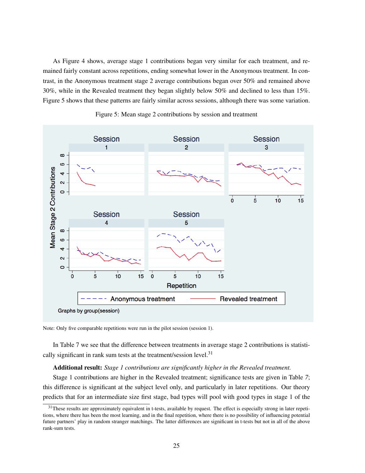As Figure 4 shows, average stage 1 contributions began very similar for each treatment, and remained fairly constant across repetitions, ending somewhat lower in the Anonymous treatment. In contrast, in the Anonymous treatment stage 2 average contributions began over 50% and remained above 30%, while in the Revealed treatment they began slightly below 50% and declined to less than 15%. Figure 5 shows that these patterns are fairly similar across sessions, although there was some variation.



Figure 5: Mean stage 2 contributions by session and treatment

Note: Only five comparable repetitions were run in the pilot session (session 1).

In Table 7 we see that the difference between treatments in average stage 2 contributions is statistically significant in rank sum tests at the treatment/session level. $31$ 

#### Additional result: *Stage 1 contributions are significantly higher in the Revealed treatment.*

Stage 1 contributions are higher in the Revealed treatment; significance tests are given in Table *7*; this difference is significant at the subject level only, and particularly in later repetitions. Our theory predicts that for an intermediate size first stage, bad types will pool with good types in stage 1 of the

 $31$ These results are approximately equivalent in t-tests, available by request. The effect is especially strong in later repetitions, where there has been the most learning, and in the final repetition, where there is no possibility of influencing potential future partners' play in random stranger matchings. The latter differences are significant in t-tests but not in all of the above rank-sum tests.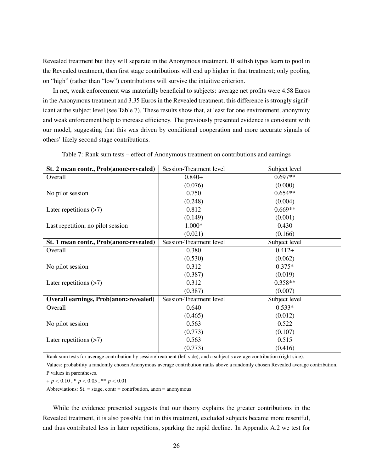Revealed treatment but they will separate in the Anonymous treatment. If selfish types learn to pool in the Revealed treatment, then first stage contributions will end up higher in that treatment; only pooling on "high" (rather than "low") contributions will survive the intuitive criterion.

In net, weak enforcement was materially beneficial to subjects: average net profits were 4.58 Euros in the Anonymous treatment and 3.35 Euros in the Revealed treatment; this difference is strongly significant at the subject level (see Table 7). These results show that, at least for one environment, anonymity and weak enforcement help to increase efficiency. The previously presented evidence is consistent with our model, suggesting that this was driven by conditional cooperation and more accurate signals of others' likely second-stage contributions.

| St. 2 mean contr., Prob(anon>revealed)          | Session-Treatment level | Subject level |
|-------------------------------------------------|-------------------------|---------------|
| Overall                                         | $0.840+$                | $0.697**$     |
|                                                 | (0.076)                 | (0.000)       |
| No pilot session                                | 0.750                   | $0.654**$     |
|                                                 | (0.248)                 | (0.004)       |
| Later repetitions $(>7)$                        | 0.812                   | $0.669**$     |
|                                                 | (0.149)                 | (0.001)       |
| Last repetition, no pilot session               | $1.000*$                | 0.430         |
|                                                 | (0.021)                 | (0.166)       |
| St. 1 mean contr., Prob(anon>revealed)          | Session-Treatment level | Subject level |
| Overall                                         | 0.380                   | $0.412+$      |
|                                                 | (0.530)                 | (0.062)       |
| No pilot session                                | 0.312                   | $0.375*$      |
|                                                 | (0.387)                 | (0.019)       |
| Later repetitions $(>7)$                        | 0.312                   | $0.358**$     |
|                                                 | (0.387)                 | (0.007)       |
| <b>Overall earnings, Prob(anon&gt;revealed)</b> | Session-Treatment level | Subject level |
| Overall                                         | 0.640                   | $0.533*$      |
|                                                 | (0.465)                 | (0.012)       |
| No pilot session                                | 0.563                   | 0.522         |
|                                                 | (0.773)                 | (0.107)       |
| Later repetitions $(>7)$                        | 0.563                   | 0.515         |
|                                                 | (0.773)                 | (0.416)       |

Table 7: Rank sum tests – effect of Anonymous treatment on contributions and earnings

Rank sum tests for average contribution by session/treatment (left side), and a subject's average contribution (right side).

Values: probability a randomly chosen Anonymous average contribution ranks above a randomly chosen Revealed average contribution. P values in parentheses.

+ *p* < 0.10 , \* *p* < 0.05 , \*\* *p* < 0.01

Abbreviations:  $St. = stage, contr = contribution, a non = anonymous$ 

While the evidence presented suggests that our theory explains the greater contributions in the Revealed treatment, it is also possible that in this treatment, excluded subjects became more resentful, and thus contributed less in later repetitions, sparking the rapid decline. In Appendix A.2 we test for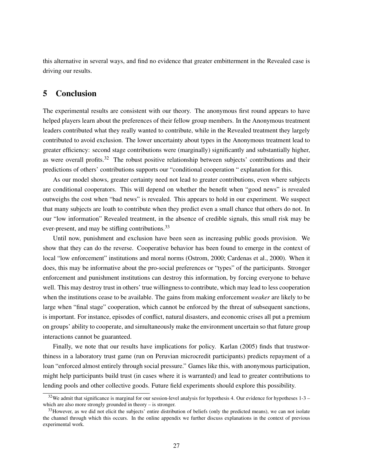this alternative in several ways, and find no evidence that greater embitterment in the Revealed case is driving our results.

## 5 Conclusion

The experimental results are consistent with our theory. The anonymous first round appears to have helped players learn about the preferences of their fellow group members. In the Anonymous treatment leaders contributed what they really wanted to contribute, while in the Revealed treatment they largely contributed to avoid exclusion. The lower uncertainty about types in the Anonymous treatment lead to greater efficiency: second stage contributions were (marginally) significantly and substantially higher, as were overall profits.<sup>32</sup> The robust positive relationship between subjects' contributions and their predictions of others' contributions supports our "conditional cooperation " explanation for this.

As our model shows, greater certainty need not lead to greater contributions, even where subjects are conditional cooperators. This will depend on whether the benefit when "good news" is revealed outweighs the cost when "bad news" is revealed. This appears to hold in our experiment. We suspect that many subjects are loath to contribute when they predict even a small chance that others do not. In our "low information" Revealed treatment, in the absence of credible signals, this small risk may be ever-present, and may be stifling contributions.<sup>33</sup>

Until now, punishment and exclusion have been seen as increasing public goods provision. We show that they can do the reverse. Cooperative behavior has been found to emerge in the context of local "low enforcement" institutions and moral norms (Ostrom, 2000; Cardenas et al., 2000). When it does, this may be informative about the pro-social preferences or "types" of the participants. Stronger enforcement and punishment institutions can destroy this information, by forcing everyone to behave well. This may destroy trust in others' true willingness to contribute, which may lead to less cooperation when the institutions cease to be available. The gains from making enforcement *weaker* are likely to be large when "final stage" cooperation, which cannot be enforced by the threat of subsequent sanctions, is important. For instance, episodes of conflict, natural disasters, and economic crises all put a premium on groups' ability to cooperate, and simultaneously make the environment uncertain so that future group interactions cannot be guaranteed.

Finally, we note that our results have implications for policy. Karlan (2005) finds that trustworthiness in a laboratory trust game (run on Peruvian microcredit participants) predicts repayment of a loan "enforced almost entirely through social pressure." Games like this, with anonymous participation, might help participants build trust (in cases where it is warranted) and lead to greater contributions to lending pools and other collective goods. Future field experiments should explore this possibility.

 $32$ We admit that significance is marginal for our session-level analysis for hypothesis 4. Our evidence for hypotheses  $1-3$  – which are also more strongly grounded in theory – is stronger.

 $33$ However, as we did not elicit the subjects' entire distribution of beliefs (only the predicted means), we can not isolate the channel through which this occurs. In the online appendix we further discuss explanations in the context of previous experimental work.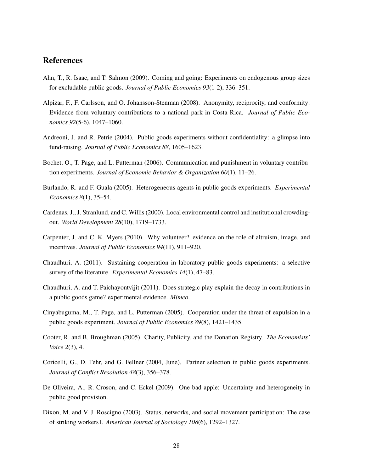## References

- Ahn, T., R. Isaac, and T. Salmon (2009). Coming and going: Experiments on endogenous group sizes for excludable public goods. *Journal of Public Economics 93*(1-2), 336–351.
- Alpizar, F., F. Carlsson, and O. Johansson-Stenman (2008). Anonymity, reciprocity, and conformity: Evidence from voluntary contributions to a national park in Costa Rica. *Journal of Public Economics 92*(5-6), 1047–1060.
- Andreoni, J. and R. Petrie (2004). Public goods experiments without confidentiality: a glimpse into fund-raising. *Journal of Public Economics 88*, 1605–1623.
- Bochet, O., T. Page, and L. Putterman (2006). Communication and punishment in voluntary contribution experiments. *Journal of Economic Behavior & Organization 60*(1), 11–26.
- Burlando, R. and F. Guala (2005). Heterogeneous agents in public goods experiments. *Experimental Economics 8*(1), 35–54.
- Cardenas, J., J. Stranlund, and C. Willis (2000). Local environmental control and institutional crowdingout. *World Development 28*(10), 1719–1733.
- Carpenter, J. and C. K. Myers (2010). Why volunteer? evidence on the role of altruism, image, and incentives. *Journal of Public Economics 94*(11), 911–920.
- Chaudhuri, A. (2011). Sustaining cooperation in laboratory public goods experiments: a selective survey of the literature. *Experimental Economics 14*(1), 47–83.
- Chaudhuri, A. and T. Paichayontvijit (2011). Does strategic play explain the decay in contributions in a public goods game? experimental evidence. *Mimeo*.
- Cinyabuguma, M., T. Page, and L. Putterman (2005). Cooperation under the threat of expulsion in a public goods experiment. *Journal of Public Economics 89*(8), 1421–1435.
- Cooter, R. and B. Broughman (2005). Charity, Publicity, and the Donation Registry. *The Economists' Voice 2*(3), 4.
- Coricelli, G., D. Fehr, and G. Fellner (2004, June). Partner selection in public goods experiments. *Journal of Conflict Resolution 48*(3), 356–378.
- De Oliveira, A., R. Croson, and C. Eckel (2009). One bad apple: Uncertainty and heterogeneity in public good provision.
- Dixon, M. and V. J. Roscigno (2003). Status, networks, and social movement participation: The case of striking workers1. *American Journal of Sociology 108*(6), 1292–1327.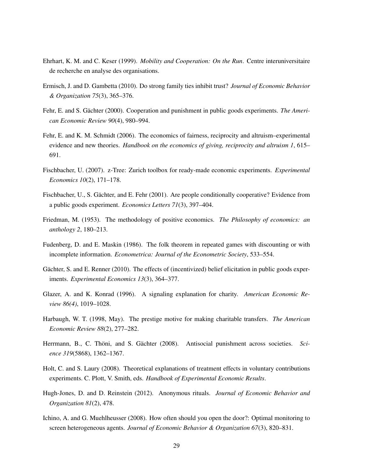- Ehrhart, K. M. and C. Keser (1999). *Mobility and Cooperation: On the Run*. Centre interuniversitaire de recherche en analyse des organisations.
- Ermisch, J. and D. Gambetta (2010). Do strong family ties inhibit trust? *Journal of Economic Behavior & Organization 75*(3), 365–376.
- Fehr, E. and S. Gächter (2000). Cooperation and punishment in public goods experiments. *The American Economic Review 90*(4), 980–994.
- Fehr, E. and K. M. Schmidt (2006). The economics of fairness, reciprocity and altruism–experimental evidence and new theories. *Handbook on the economics of giving, reciprocity and altruism 1*, 615– 691.
- Fischbacher, U. (2007). z-Tree: Zurich toolbox for ready-made economic experiments. *Experimental Economics 10*(2), 171–178.
- Fischbacher, U., S. Gächter, and E. Fehr (2001). Are people conditionally cooperative? Evidence from a public goods experiment. *Economics Letters 71*(3), 397–404.
- Friedman, M. (1953). The methodology of positive economics. *The Philosophy of economics: an anthology 2*, 180–213.
- Fudenberg, D. and E. Maskin (1986). The folk theorem in repeated games with discounting or with incomplete information. *Econometrica: Journal of the Econometric Society*, 533–554.
- Gächter, S. and E. Renner (2010). The effects of (incentivized) belief elicitation in public goods experiments. *Experimental Economics 13*(3), 364–377.
- Glazer, A. and K. Konrad (1996). A signaling explanation for charity. *American Economic Review 86(4)*, 1019–1028.
- Harbaugh, W. T. (1998, May). The prestige motive for making charitable transfers. *The American Economic Review 88*(2), 277–282.
- Herrmann, B., C. Thöni, and S. Gächter (2008). Antisocial punishment across societies. *Science 319*(5868), 1362–1367.
- Holt, C. and S. Laury (2008). Theoretical explanations of treatment effects in voluntary contributions experiments. C. Plott, V. Smith, eds. *Handbook of Experimental Economic Results*.
- Hugh-Jones, D. and D. Reinstein (2012). Anonymous rituals. *Journal of Economic Behavior and Organization 81*(2), 478.
- Ichino, A. and G. Muehlheusser (2008). How often should you open the door?: Optimal monitoring to screen heterogeneous agents. *Journal of Economic Behavior & Organization 67*(3), 820–831.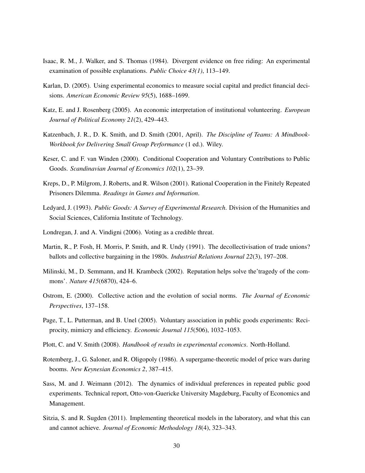- Isaac, R. M., J. Walker, and S. Thomas (1984). Divergent evidence on free riding: An experimental examination of possible explanations. *Public Choice 43(1)*, 113–149.
- Karlan, D. (2005). Using experimental economics to measure social capital and predict financial decisions. *American Economic Review 95*(5), 1688–1699.
- Katz, E. and J. Rosenberg (2005). An economic interpretation of institutional volunteering. *European Journal of Political Economy 21*(2), 429–443.
- Katzenbach, J. R., D. K. Smith, and D. Smith (2001, April). *The Discipline of Teams: A Mindbook-Workbook for Delivering Small Group Performance* (1 ed.). Wiley.
- Keser, C. and F. van Winden (2000). Conditional Cooperation and Voluntary Contributions to Public Goods. *Scandinavian Journal of Economics 102*(1), 23–39.
- Kreps, D., P. Milgrom, J. Roberts, and R. Wilson (2001). Rational Cooperation in the Finitely Repeated Prisoners Dilemma. *Readings in Games and Information*.
- Ledyard, J. (1993). *Public Goods: A Survey of Experimental Research*. Division of the Humanities and Social Sciences, California Institute of Technology.
- Londregan, J. and A. Vindigni (2006). Voting as a credible threat.
- Martin, R., P. Fosh, H. Morris, P. Smith, and R. Undy (1991). The decollectivisation of trade unions? ballots and collective bargaining in the 1980s. *Industrial Relations Journal 22*(3), 197–208.
- Milinski, M., D. Semmann, and H. Krambeck (2002). Reputation helps solve the'tragedy of the commons'. *Nature 415*(6870), 424–6.
- Ostrom, E. (2000). Collective action and the evolution of social norms. *The Journal of Economic Perspectives*, 137–158.
- Page, T., L. Putterman, and B. Unel (2005). Voluntary association in public goods experiments: Reciprocity, mimicry and efficiency. *Economic Journal 115*(506), 1032–1053.
- Plott, C. and V. Smith (2008). *Handbook of results in experimental economics*. North-Holland.
- Rotemberg, J., G. Saloner, and R. Oligopoly (1986). A supergame-theoretic model of price wars during booms. *New Keynesian Economics 2*, 387–415.
- Sass, M. and J. Weimann (2012). The dynamics of individual preferences in repeated public good experiments. Technical report, Otto-von-Guericke University Magdeburg, Faculty of Economics and Management.
- Sitzia, S. and R. Sugden (2011). Implementing theoretical models in the laboratory, and what this can and cannot achieve. *Journal of Economic Methodology 18*(4), 323–343.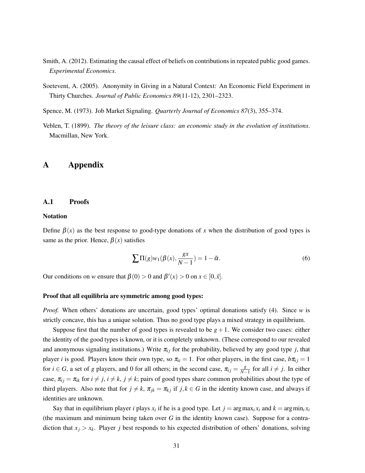- Smith, A. (2012). Estimating the causal effect of beliefs on contributions in repeated public good games. *Experimental Economics*.
- Soetevent, A. (2005). Anonymity in Giving in a Natural Context: An Economic Field Experiment in Thirty Churches. *Journal of Public Economics 89*(11-12), 2301–2323.
- Spence, M. (1973). Job Market Signaling. *Quarterly Journal of Economics 87*(3), 355–374.
- Veblen, T. (1899). *The theory of the leisure class: an economic study in the evolution of institutions*. Macmillan, New York.

## A Appendix

#### A.1 Proofs

### Notation

Define  $\beta(x)$  as the best response to good-type donations of x when the distribution of good types is same as the prior. Hence,  $\beta(x)$  satisfies

$$
\sum \Pi(g)w_1(\beta(x), \frac{gx}{N-1}) = 1 - \bar{\alpha}.
$$
 (6)

Our conditions on *w* ensure that  $\beta(0) > 0$  and  $\beta'(x) > 0$  on  $x \in [0, \bar{x}]$ .

#### Proof that all equilibria are symmetric among good types:

*Proof.* When others' donations are uncertain, good types' optimal donations satisfy (4). Since *w* is strictly concave, this has a unique solution. Thus no good type plays a mixed strategy in equilibrium.

Suppose first that the number of good types is revealed to be  $g + 1$ . We consider two cases: either the identity of the good types is known, or it is completely unknown. (These correspond to our revealed and anonymous signaling institutions.) Write  $\pi_{ij}$  for the probability, believed by any good type *j*, that player *i* is good. Players know their own type, so  $\pi_{ii} = 1$ . For other players, in the first case,  $b\pi_{ij} = 1$ for  $i \in G$ , a set of *g* players, and 0 for all others; in the second case,  $\pi_{ij} = \frac{g}{N-1}$  $\frac{g}{N-1}$  for all *i* ≠ *j*. In either case,  $\pi_{ij} = \pi_{ik}$  for  $i \neq j$ ,  $i \neq k$ ,  $j \neq k$ ; pairs of good types share common probabilities about the type of third players. Also note that for  $j \neq k$ ,  $\pi_{jk} = \pi_{kj}$  if  $j, k \in G$  in the identity known case, and always if identities are unknown.

Say that in equilibrium player *i* plays  $x_i$  if he is a good type. Let  $j = \arg \max_i x_i$  and  $k = \arg \min_i x_i$ (the maximum and minimum being taken over *G* in the identity known case). Suppose for a contradiction that  $x_j > x_k$ . Player *j* best responds to his expected distribution of others' donations, solving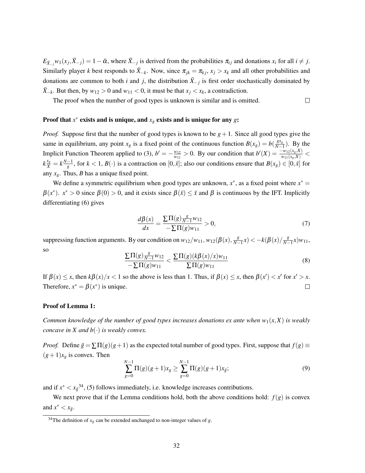$E_{\bar{X}_{-j}}w_1(x_j, \bar{X}_{-j}) = 1 - \bar{\alpha}$ , where  $\bar{X}_{-j}$  is derived from the probabilities  $\pi_{ij}$  and donations  $x_i$  for all  $i \neq j$ . Similarly player *k* best responds to  $\bar{X}_{-k}$ . Now, since  $\pi_{jk} = \pi_{kj}$ ,  $x_j > x_k$  and all other probabilities and donations are common to both *i* and *j*, the distribution  $\bar{X}_{-j}$  is first order stochastically dominated by *X*<sup>−*k*</sup>. But then, by *w*<sub>12</sub> > 0 and *w*<sub>11</sub> < 0, it must be that *x<sub>i</sub>* < *x<sub>k</sub>*, a contradiction.

The proof when the number of good types is unknown is similar and is omitted.  $\Box$ 

## Proof that  $x^*$  exists and is unique, and  $x_g$  exists and is unique for any  $g$ :

*Proof.* Suppose first that the number of good types is known to be  $g + 1$ . Since all good types give the same in equilibrium, any point  $x_g$  is a fixed point of the continuous function  $B(x_g) = b(\frac{gx_g}{N-1})$  $\frac{gx_g}{N-1}$ ). By the Implicit Function Theorem applied to (3),  $b' = -\frac{w_{12}}{w_{11}}$  $\frac{w_{12}}{w_{11}} > 0$ . By our condition that  $b'(X) = \frac{-w_{12}(x_g, X)}{w_{11}(x_g, X)} <$  $k\frac{x_g}{\bar{x}} = k\frac{N-1}{g}$ , for  $k < 1$ ,  $B(\cdot)$  is a contraction on  $[0, \bar{x}]$ ; also our conditions ensure that  $B(x_g) \in [0, \bar{x}]$  for any  $x_g$ . Thus, *B* has a unique fixed point.

We define a symmetric equilibrium when good types are unknown,  $x^*$ , as a fixed point where  $x^* =$  $\beta(x^*)$ .  $x^* > 0$  since  $\beta(0) > 0$ , and it exists since  $\beta(\bar{x}) \leq \bar{x}$  and  $\beta$  is continuous by the IFT. Implicitly differentiating (6) gives

$$
\frac{d\beta(x)}{dx} = \frac{\sum \Pi(g)\frac{s}{N-1}w_{12}}{-\sum \Pi(g)w_{11}} > 0,
$$
\n(7)

suppressing function arguments. By our condition on  $w_{12}/w_{11}$ ,  $w_{12}(\beta(x), \frac{g}{N-x})$  $\frac{g}{N-1}x$ ) <  $-k(\beta(x)/\frac{g}{N-1})$ *N*−1 *x*)*w*11, so

$$
\frac{\sum \Pi(g) \frac{g}{N-1} w_{12}}{-\sum \Pi(g) w_{11}} < \frac{\sum \Pi(g) (k \beta(x)/x) w_{11}}{\sum \Pi(g) w_{11}}
$$
(8)

If  $\beta(x) \leq x$ , then  $k\beta(x)/x < 1$  so the above is less than 1. Thus, if  $\beta(x) \leq x$ , then  $\beta(x') < x'$  for  $x' > x$ . Therefore,  $x^* = \beta(x^*)$  is unique.  $\Box$ 

### Proof of Lemma 1:

*Common knowledge of the number of good types increases donations ex ante when*  $w_1(x, X)$  *is weakly concave in*  $X$  *and*  $b(\cdot)$  *is weakly convex.* 

*Proof.* Define  $\bar{g} = \sum \Pi(g)(g+1)$  as the expected total number of good types. First, suppose that  $f(g) \equiv$  $(g+1)x_g$  is convex. Then

$$
\sum_{g=0}^{N-1} \Pi(g)(g+1)x_g \ge \sum_{g=0}^{N-1} \Pi(g)(g+1)x_{\bar{g}};
$$
\n(9)

and if  $x^* < x_{\bar{g}}^{34}$ , (5) follows immediately, i.e. knowledge increases contributions.

We next prove that if the Lemma conditions hold, both the above conditions hold:  $f(g)$  is convex and  $x^* < x_{\bar{g}}$ .

<sup>&</sup>lt;sup>34</sup>The definition of  $x_g$  can be extended unchanged to non-integer values of *g*.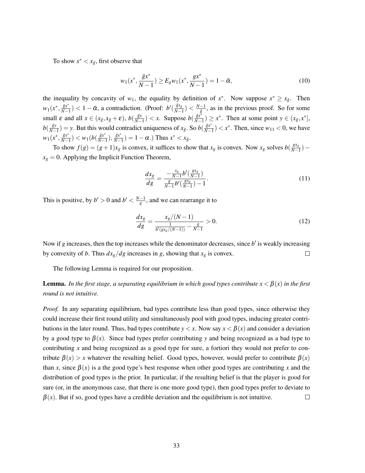To show  $x^* < x_{\bar{g}}$ , first observe that

$$
w_1(x^*, \frac{\bar{g}x^*}{N-1}) \ge E_g w_1(x^*, \frac{gx^*}{N-1}) = 1 - \bar{\alpha},\tag{10}
$$

the inequality by concavity of  $w_1$ , the equality by definition of  $x^*$ . Now suppose  $x^* \ge x_{\bar{g}}$ . Then  $w_1(x^*, \frac{\bar{g}x^*}{N-1})$  $\frac{\bar{g}x^*}{N-1}$ ) < 1 –  $\bar{\alpha}$ , a contradiction. (Proof: *b*<sup>'</sup>( $\frac{\bar{g}x_{\bar{g}}}{N-1}$  $\frac{\bar{g}x_{\bar{g}}}{N-1})<\frac{N-1}{\bar{g}}$  $\frac{-1}{\bar{g}}$ , as in the previous proof. So for some small  $\varepsilon$  and all  $x \in (x_{\bar{g}}, x_{\bar{g}} + \varepsilon), b(\frac{\bar{g}x}{N-1})$  $\frac{\bar{g}x}{N-1}$ ) < *x*. Suppose *b*( $\frac{\bar{g}x^*}{N-1}$  $\frac{\bar{g}x^*}{N-1}$ ) ≥  $x^*$ . Then at some point  $y \in (x_{\bar{g}}, x^*]$ ,  $b(\frac{\bar{g}y}{N-1})$  $\frac{\bar{g}y}{N-1}$ ) = *y*. But this would contradict uniqueness of *x*<sub>*g*</sub>. So *b*( $\frac{\bar{g}x^*}{N-1}$ )  $\frac{\bar{g}x^*}{N-1}$   $\lt x^*$ . Then, since  $w_{11}$   $\lt 0$ , we have  $w_1(x^*, \frac{\bar{g}x^*}{N-1})$  $\frac{\bar{g}x^*}{N-1}$ ) <  $w_1(b(\frac{\bar{g}x^*}{N-1}))$  $\frac{\bar{g}x^*}{N-1}, \frac{\bar{g}x^*}{N-1}$  $\frac{\bar{g}x^*}{N-1}$ ) = 1 –  $\alpha$ .) Thus  $x^* < x_{\bar{g}}$ .

To show  $f(g) = (g+1)x_g$  is convex, it suffices to show that  $x_g$  is convex. Now  $x_g$  solves  $b\left(\frac{gx_g}{N}\right)$  $\frac{gx_g}{N-1}$ )  $x_g = 0$ . Applying the Implicit Function Theorem,

$$
\frac{dx_g}{dg} = \frac{-\frac{x_g}{N-1}b'(\frac{gx_g}{N-1})}{\frac{g}{N-1}b'(\frac{gx_g}{N-1}) - 1}.
$$
\n(11)

This is positive, by  $b' > 0$  and  $b' < \frac{N-1}{g}$ , and we can rearrange it to

$$
\frac{dx_g}{dg} = \frac{x_g/(N-1)}{\frac{1}{b'(gx_g/(N-1))} - \frac{g}{N-1}} > 0.
$$
\n(12)

Now if  $g$  increases, then the top increases while the denominator decreases, since  $b'$  is weakly increasing by convexity of *b*. Thus  $dx_g/dg$  increases in *g*, showing that  $x_g$  is convex.  $\Box$ 

The following Lemma is required for our proposition.

## **Lemma.** *In the first stage, a separating equilibrium in which good types contribute*  $x < \beta(x)$  *in the first round is not intuitive.*

*Proof.* In any separating equilibrium, bad types contribute less than good types, since otherwise they could increase their first round utility and simultaneously pool with good types, inducing greater contributions in the later round. Thus, bad types contribute  $y < x$ . Now say  $x < \beta(x)$  and consider a deviation by a good type to  $\beta(x)$ . Since bad types prefer contributing *y* and being recognized as a bad type to contributing *x* and being recognized as a good type for sure, a fortiori they would not prefer to contribute  $\beta(x) > x$  whatever the resulting belief. Good types, however, would prefer to contribute  $\beta(x)$ than *x*, since  $\beta(x)$  is a the good type's best response when other good types are contributing *x* and the distribution of good types is the prior. In particular, if the resulting belief is that the player is good for sure (or, in the anonymous case, that there is one more good type), then good types prefer to deviate to  $\beta(x)$ . But if so, good types have a credible deviation and the equilibrium is not intuitive.  $\Box$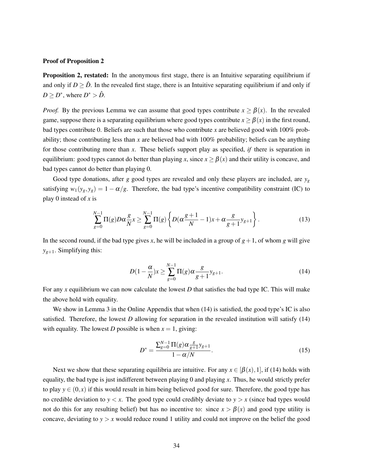#### Proof of Proposition 2

Proposition 2, restated: In the anonymous first stage, there is an Intuitive separating equilibrium if and only if  $D \geq \hat{D}$ . In the revealed first stage, there is an Intuitive separating equilibrium if and only if  $D \geq D^*$ , where  $D^* > \hat{D}$ .

*Proof.* By the previous Lemma we can assume that good types contribute  $x \ge \beta(x)$ . In the revealed game, suppose there is a separating equilibrium where good types contribute  $x \ge \beta(x)$  in the first round, bad types contribute 0. Beliefs are such that those who contribute *x* are believed good with 100% probability; those contributing less than *x* are believed bad with 100% probability; beliefs can be anything for those contributing more than *x*. These beliefs support play as specified, *if* there is separation in equilibrium: good types cannot do better than playing *x*, since  $x \ge \beta(x)$  and their utility is concave, and bad types cannot do better than playing 0.

Good type donations, after *g* good types are revealed and only these players are included, are *y<sup>g</sup>* satisfying  $w_1(y_g, y_g) = 1 - \alpha/g$ . Therefore, the bad type's incentive compatibility constraint (IC) to play 0 instead of *x* is

$$
\sum_{g=0}^{N-1} \Pi(g) D\alpha \frac{g}{N} x \ge \sum_{g=0}^{N-1} \Pi(g) \left\{ D(\alpha \frac{g+1}{N} - 1) x + \alpha \frac{g}{g+1} y_{g+1} \right\}.
$$
 (13)

In the second round, if the bad type gives x, he will be included in a group of  $g+1$ , of whom g will give  $y_{g+1}$ . Simplifying this:

$$
D(1 - \frac{\alpha}{N})x \ge \sum_{g=0}^{N-1} \Pi(g)\alpha \frac{g}{g+1} y_{g+1}.
$$
 (14)

For any *x* equilibrium we can now calculate the lowest *D* that satisfies the bad type IC. This will make the above hold with equality.

We show in Lemma 3 in the Online Appendix that when (14) is satisfied, the good type's IC is also satisfied. Therefore, the lowest *D* allowing for separation in the revealed institution will satisfy (14) with equality. The lowest *D* possible is when  $x = 1$ , giving:

$$
D^* = \frac{\sum_{g=0}^{N-1} \Pi(g) \alpha \frac{g}{g+1} y_{g+1}}{1 - \alpha/N}.
$$
\n(15)

Next we show that these separating equilibria are intuitive. For any  $x \in [\beta(x),1]$ , if (14) holds with equality, the bad type is just indifferent between playing 0 and playing *x*. Thus, he would strictly prefer to play  $y \in (0, x)$  if this would result in him being believed good for sure. Therefore, the good type has no credible deviation to  $y < x$ . The good type could credibly deviate to  $y > x$  (since bad types would not do this for any resulting belief) but has no incentive to: since  $x > \beta(x)$  and good type utility is concave, deviating to  $y > x$  would reduce round 1 utility and could not improve on the belief the good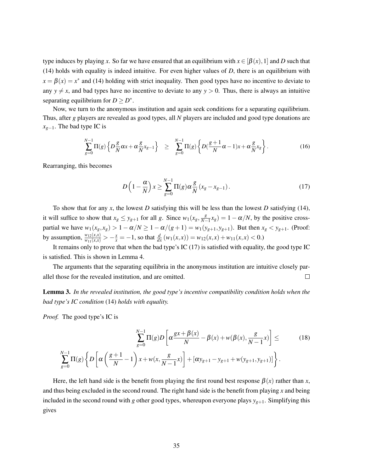type induces by playing x. So far we have ensured that an equilibrium with  $x \in [\beta(x),1]$  and D such that (14) holds with equality is indeed intuitive. For even higher values of *D*, there is an equilibrium with  $x = \beta(x) = x^*$  and (14) holding with strict inequality. Then good types have no incentive to deviate to any  $y \neq x$ , and bad types have no incentive to deviate to any  $y > 0$ . Thus, there is always an intuitive separating equilibrium for  $D \geq D^*$ .

Now, we turn to the anonymous institution and again seek conditions for a separating equilibrium. Thus, after *g* players are revealed as good types, all *N* players are included and good type donations are *xg*−1. The bad type IC is

$$
\sum_{g=0}^{N-1} \Pi(g) \left\{ D\frac{g}{N} \alpha x + \alpha \frac{g}{N} x_{g-1} \right\} \geq \sum_{g=0}^{N-1} \Pi(g) \left\{ D(\frac{g+1}{N} \alpha - 1) x + \alpha \frac{g}{N} x_g \right\}.
$$
 (16)

Rearranging, this becomes

$$
D\left(1-\frac{\alpha}{N}\right)x \ge \sum_{g=0}^{N-1} \Pi(g)\alpha \frac{g}{N}\left(x_g - x_{g-1}\right). \tag{17}
$$

To show that for any *x*, the lowest *D* satisfying this will be less than the lowest *D* satisfying (14), it will suffice to show that  $x_g \leq y_{g+1}$  for all *g*. Since  $w_1(x_g, \frac{g}{N-1})$  $\frac{g}{N-1}x_g$ ) = 1 –  $\alpha/N$ , by the positive crosspartial we have  $w_1(x_g, x_g) > 1 - \alpha/N \ge 1 - \alpha/(g+1) = w_1(y_{g+1}, y_{g+1})$ . But then  $x_g < y_{g+1}$ . (Proof: by assumption,  $\frac{w_{12}(x,x)}{w_{11}(x,x)} > -\frac{x}{x} = -1$ , so that  $\frac{d}{dx}(w_1(x,x)) = w_{12}(x,x) + w_{11}(x,x) < 0$ .

It remains only to prove that when the bad type's IC (17) is satisfied with equality, the good type IC is satisfied. This is shown in Lemma 4.

The arguments that the separating equilibria in the anonymous institution are intuitive closely parallel those for the revealed institution, and are omitted.  $\Box$ 

Lemma 3. *In the revealed institution, the good type's incentive compatibility condition holds when the bad type's IC condition* (14) *holds with equality.*

*Proof.* The good type's IC is

$$
\sum_{g=0}^{N-1} \Pi(g) D\left[\alpha \frac{gx + \beta(x)}{N} - \beta(x) + w(\beta(x), \frac{g}{N-1}x)\right] \leq \qquad (18)
$$

$$
\sum_{g=0}^{N-1} \Pi(g) \left\{ D\left[\alpha \left(\frac{g+1}{N} - 1\right) x + w(x, \frac{g}{N-1}x) \right] + [\alpha y_{g+1} - y_{g+1} + w(y_{g+1}, y_{g+1})] \right\}.
$$

Here, the left hand side is the benefit from playing the first round best response  $\beta(x)$  rather than *x*, and thus being excluded in the second round. The right hand side is the benefit from playing *x* and being included in the second round with *g* other good types, whereupon everyone plays  $y_{g+1}$ . Simplifying this gives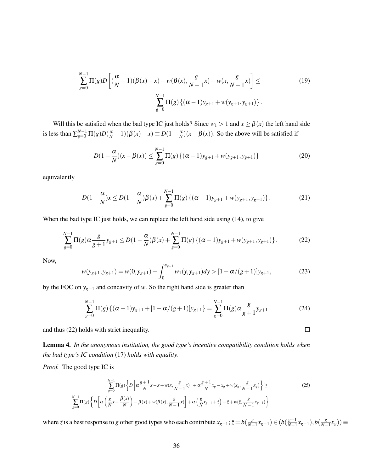$$
\sum_{g=0}^{N-1} \Pi(g) D\left[ \left( \frac{\alpha}{N} - 1 \right) (\beta(x) - x) + w(\beta(x), \frac{g}{N-1} x) - w(x, \frac{g}{N-1} x) \right] \le
$$
\n
$$
\sum_{g=0}^{N-1} \Pi(g) \left\{ (\alpha - 1) y_{g+1} + w(y_{g+1}, y_{g+1}) \right\}.
$$
\n(19)

Will this be satisfied when the bad type IC just holds? Since  $w_1 > 1$  and  $x \ge \beta(x)$  the left hand side is less than  $\sum_{g=0}^{N-1} \Pi(g)D(\frac{\alpha}{N}-1)(\beta(x)-x) \equiv D(1-\frac{\alpha}{N})(x-\beta(x))$ . So the above will be satisfied if

$$
D(1 - \frac{\alpha}{N})(x - \beta(x)) \le \sum_{g=0}^{N-1} \Pi(g) \{ (\alpha - 1)y_{g+1} + w(y_{g+1}, y_{g+1}) \}
$$
(20)

equivalently

$$
D(1 - \frac{\alpha}{N})x \le D(1 - \frac{\alpha}{N})\beta(x) + \sum_{g=0}^{N-1} \Pi(g) \{ (\alpha - 1)y_{g+1} + w(y_{g+1}, y_{g+1}) \}.
$$
 (21)

When the bad type IC just holds, we can replace the left hand side using (14), to give

$$
\sum_{g=0}^{N-1} \Pi(g) \alpha \frac{g}{g+1} y_{g+1} \le D(1-\frac{\alpha}{N})\beta(x) + \sum_{g=0}^{N-1} \Pi(g) \left\{ (\alpha - 1) y_{g+1} + w(y_{g+1}, y_{g+1}) \right\}.
$$
 (22)

Now,

$$
w(y_{g+1}, y_{g+1}) = w(0, y_{g+1}) + \int_0^{y_{g+1}} w_1(y, y_{g+1}) dy > [1 - \alpha/(g+1)]y_{g+1},
$$
\n(23)

by the FOC on  $y_{g+1}$  and concavity of *w*. So the right hand side is greater than

$$
\sum_{g=0}^{N-1} \Pi(g) \{ (\alpha - 1) y_{g+1} + [1 - \alpha/(g+1)] y_{g+1} \} = \sum_{g=0}^{N-1} \Pi(g) \alpha \frac{g}{g+1} y_{g+1}
$$
(24)

 $\Box$ 

and thus (22) holds with strict inequality.

Lemma 4. *In the anonymous institution, the good type's incentive compatibility condition holds when the bad type's IC condition* (17) *holds with equality.*

*Proof.* The good type IC is

$$
\sum_{g=0}^{N-1} \Pi(g) \left\{ D \left[ \alpha \frac{g+1}{N} x - x + w(x, \frac{g}{N-1} x) \right] + \alpha \frac{g+1}{N} x_g - x_g + w(x_g, \frac{g}{N-1} x_g) \right\} \ge
$$
\n
$$
\sum_{g=0}^{N-1} \Pi(g) \left\{ D \left[ \alpha \left( \frac{g}{N} x + \frac{\beta(x)}{N} \right) - \beta(x) + w(\beta(x), \frac{g}{N-1} x) \right] + \alpha \left( \frac{g}{N} x_{g-1} + z \right) - z + w(z, \frac{g}{N-1} x_{g-1}) \right\}
$$
\n(25)

where  $\hat{z}$  is a best response to *g* other good types who each contribute  $x_{g-1}$ ;  $\hat{z} = b\left(\frac{g}{N-1}\right)$ *N*−1 *xg*−1) ∈ (*b*( *g*−1 *N*−1 *xg*−1),*b*( *g*  $\frac{g}{N-1}x_g$ ))  $\equiv$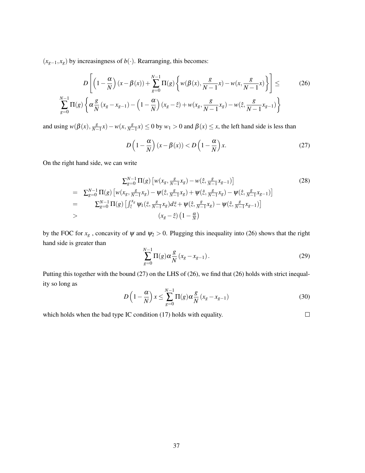$(x<sub>g−1</sub>, x<sub>g</sub>)$  by increasingness of *b*(·). Rearranging, this becomes:

$$
D\left[\left(1-\frac{\alpha}{N}\right)(x-\beta(x)) + \sum_{g=0}^{N-1} \Pi(g)\left\{w(\beta(x), \frac{g}{N-1}x) - w(x, \frac{g}{N-1}x)\right\}\right] \leq (26)
$$
  

$$
\sum_{g=0}^{N-1} \Pi(g)\left\{\alpha \frac{g}{N}(x_g - x_{g-1}) - \left(1-\frac{\alpha}{N}\right)(x_g - \hat{z}) + w(x_g, \frac{g}{N-1}x_g) - w(\hat{z}, \frac{g}{N-1}x_{g-1})\right\}
$$

and using  $w(\beta(x), \frac{g}{N-x})$  $\frac{g}{N-1}x$ ) – *w*(*x*,  $\frac{g}{N-1}$  $\frac{g}{N-1}x$   $\leq 0$  by  $w_1 > 0$  and  $\beta(x) \leq x$ , the left hand side is less than

$$
D\left(1-\frac{\alpha}{N}\right)(x-\beta(x)) < D\left(1-\frac{\alpha}{N}\right)x.\tag{27}
$$

On the right hand side, we can write

$$
\sum_{g=0}^{N-1} \Pi(g) \left[ w(x_g, \frac{g}{N-1} x_g) - w(\hat{z}, \frac{g}{N-1} x_{g-1}) \right]
$$
(28)  
=  $\sum_{g=0}^{N-1} \Pi(g) \left[ w(x_g, \frac{g}{N-1} x_g) - \psi(\hat{z}, \frac{g}{N-1} x_g) + \psi(\hat{z}, \frac{g}{N-1} x_g) - \psi(\hat{z}, \frac{g}{N-1} x_{g-1}) \right]$   
=  $\sum_{g=0}^{N-1} \Pi(g) \left[ \int_{\hat{z}}^{x_g} \psi_1(\bar{z}, \frac{g}{N-1} x_g) d\bar{z} + \psi(\hat{z}, \frac{g}{N-1} x_g) - \psi(\hat{z}, \frac{g}{N-1} x_{g-1}) \right]$   
>  $(x_g - \hat{z}) \left( 1 - \frac{\alpha}{N} \right)$ 

by the FOC for  $x_g$ , concavity of  $\psi$  and  $\psi_2 > 0$ . Plugging this inequality into (26) shows that the right hand side is greater than

$$
\sum_{g=0}^{N-1} \Pi(g) \alpha \frac{g}{N} (x_g - x_{g-1}).
$$
\n(29)

 $\Box$ 

Putting this together with the bound (27) on the LHS of (26), we find that (26) holds with strict inequality so long as

$$
D\left(1-\frac{\alpha}{N}\right)x \le \sum_{g=0}^{N-1} \Pi(g)\alpha \frac{g}{N}\left(x_g - x_{g-1}\right) \tag{30}
$$

which holds when the bad type IC condition (17) holds with equality.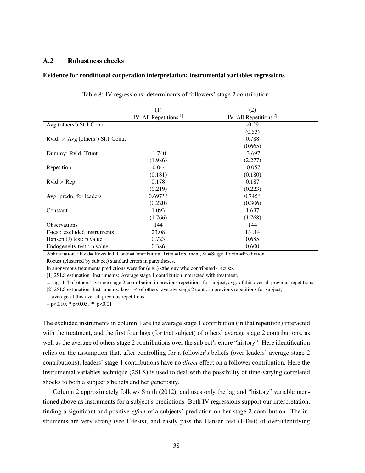## A.2 Robustness checks

#### Evidence for conditional cooperation interpretation: instrumental variables regressions

|                                          | (1)                       | (2)                       |  |
|------------------------------------------|---------------------------|---------------------------|--|
|                                          | IV: All Repetitions $[1]$ | IV: All Repetitions $[2]$ |  |
| Avg (others') St.1 Contr.                |                           | $-0.29$                   |  |
|                                          |                           | (0.53)                    |  |
| Rvld. $\times$ Avg (others') St.1 Contr. |                           | 0.788                     |  |
|                                          |                           | (0.665)                   |  |
| Dummy: Rvld. Trtmt.                      | $-1.740$                  | $-3.697$                  |  |
|                                          | (1.986)                   | (2.277)                   |  |
| Repetition                               | $-0.044$                  | $-0.057$                  |  |
|                                          | (0.181)                   | (0.180)                   |  |
| $Rvld \times Rep.$                       | 0.178                     | 0.187                     |  |
|                                          | (0.219)                   | (0.223)                   |  |
| Avg. predn. for leaders                  | $0.697**$                 | $0.745*$                  |  |
|                                          | (0.220)                   | (0.306)                   |  |
| Constant                                 | 1.093                     | 1.637                     |  |
|                                          | (1.766)                   | (1.768)                   |  |
| <b>Observations</b>                      | 144                       | 144                       |  |
| F-test: excluded instruments             | 23.08                     | 13.14                     |  |
| Hansen $(J)$ test: p value               | 0.723                     | 0.685                     |  |
| Endogeneity test : p value               | 0.386                     | 0.600                     |  |

|  | Table 8: IV regressions: determinants of followers' stage 2 contribution |  |
|--|--------------------------------------------------------------------------|--|
|  |                                                                          |  |

Abbreviations: Rvld= Revealed, Contr.=Contribution, Trtmt=Treatment, St.=Stage, Predn.=Prediction Robust (clustered by subject) standard errors in parentheses.

In anonymous treatments predictions were for  $(e.g.,)$  <the guy who contributed 4 ecus>.

[1] 2SLS estimation. Instruments: Average stage 1 contribution interacted with treatment,

... lags 1-4 of others' average stage 2 contribution in previous repetitions for subject, avg. of this over all previous repetitions.

[2] 2SLS estimation. Instruments: lags 1-4 of others' average stage 2 contr. in previous repetitions for subject,

... average of this over all previous repetitions.

 $+$  p<0.10,  $*$  p<0.05,  $*$  p  $< 0.01$ 

The excluded instruments in column 1 are the average stage 1 contribution (in that repetition) interacted with the treatment, and the first four lags (for that subject) of others' average stage 2 contributions, as well as the average of others stage 2 contributions over the subject's entire "history". Here identification relies on the assumption that, after controlling for a follower's beliefs (over leaders' average stage 2 contributions), leaders' stage 1 contributions have no *direct* effect on a follower contribution. Here the instrumental variables technique (2SLS) is used to deal with the possibility of time-varying correlated shocks to both a subject's beliefs and her generosity.

Column 2 approximately follows Smith (2012), and uses only the lag and "history" variable mentioned above as instruments for a subject's predictions. Both IV regressions support our interpretation, finding a significant and positive *effect* of a subjects' prediction on her stage 2 contribution. The instruments are very strong (see F-tests), and easily pass the Hansen test (J-Test) of over-identifying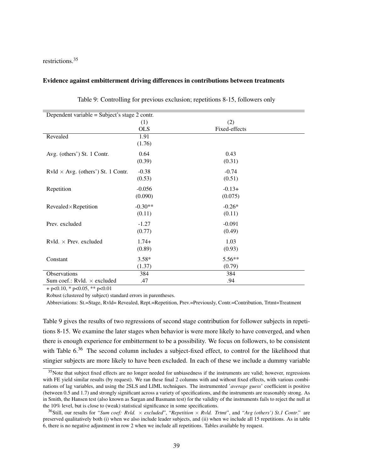restrictions.<sup>35</sup>

### Evidence against embitterment driving differences in contributions between treatments

| Dependent variable = Subject's stage 2 contr. |            |               |
|-----------------------------------------------|------------|---------------|
|                                               | (1)        | (2)           |
|                                               | <b>OLS</b> | Fixed-effects |
| Revealed                                      | 1.91       |               |
|                                               | (1.76)     |               |
| Avg. (others') St. 1 Contr.                   | 0.64       | 0.43          |
|                                               | (0.39)     | (0.31)        |
| Rvld $\times$ Avg. (others') St. 1 Contr.     | $-0.38$    | $-0.74$       |
|                                               | (0.53)     | (0.51)        |
| Repetition                                    | $-0.056$   | $-0.13+$      |
|                                               | (0.090)    | (0.075)       |
| Revealed×Repetition                           | $-0.30**$  | $-0.26*$      |
|                                               | (0.11)     | (0.11)        |
| Prev. excluded                                | $-1.27$    | $-0.091$      |
|                                               | (0.77)     | (0.49)        |
| Rvld. $\times$ Prev. excluded                 | $1.74+$    | 1.03          |
|                                               | (0.89)     | (0.93)        |
| Constant                                      | $3.58*$    | 5.56**        |
|                                               | (1.37)     | (0.79)        |
| Observations                                  | 384        | 384           |
| Sum coef.: Rvld. × excluded                   | .47        | .94           |

|  |  | Table 9: Controlling for previous exclusion; repetitions 8-15, followers only |  |
|--|--|-------------------------------------------------------------------------------|--|
|  |  |                                                                               |  |

 $+$  p<0.10, \* p<0.05, \*\* p<0.01

Robust (clustered by subject) standard errors in parentheses.

Abbreviations: St.=Stage, Rvld= Revealed, Rept.=Repetition, Prev.=Previously, Contr.=Contribution, Trtmt=Treatment

Table 9 gives the results of two regressions of second stage contribution for follower subjects in repetitions 8-15. We examine the later stages when behavior is were more likely to have converged, and when there is enough experience for embitterment to be a possibility. We focus on followers, to be consistent with Table 6.<sup>36</sup> The second column includes a subject-fixed effect, to control for the likelihood that stingier subjects are more likely to have been excluded. In each of these we include a dummy variable

 $35$ Note that subject fixed effects are no longer needed for unbiasedness if the instruments are valid; however, regressions with FE yield similar results (by request). We ran these final 2 columns with and without fixed effects, with various combinations of lag variables, and using the 2SLS and LIML techniques. The instrumented '*average guess*' coefficient is positive (between 0.5 and 1.7) and strongly significant across a variety of specifications, and the instruments are reasonably strong. As in Smith, the Hansen test (also known as Sargan and Basmann test) for the validity of the instruments fails to reject the null at the 10% level, but is close to (weak) statistical significance in some specifications.

<sup>36</sup>Still, our results for *"Sum coef: Rvld.* × *excluded*", "*Repetition* × *Rvld. Trtmt*", and *"Avg (others') St.1 Contr*." are preserved qualitatively both (i) when we also include leader subjects, and (ii) when we include all 15 repetitions. As in table 6, there is no negative adjustment in row 2 when we include all repetitions. Tables available by request.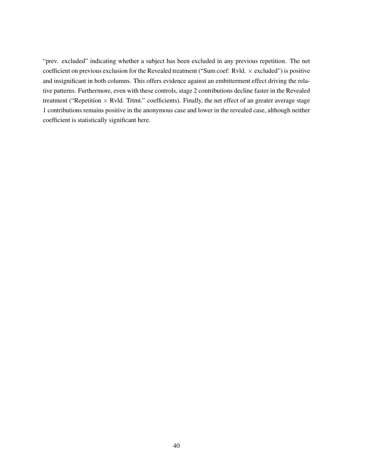"prev. excluded" indicating whether a subject has been excluded in any previous repetition. The net coefficient on previous exclusion for the Revealed treatment ("Sum coef: Rvld.  $\times$  excluded") is positive and insignificant in both columns. This offers evidence against an embitterment effect driving the relative patterns. Furthermore, even with these controls, stage 2 contributions decline faster in the Revealed treatment ("Repetition  $\times$  Rvld. Trtmt." coefficients). Finally, the net effect of an greater average stage 1 contributions remains positive in the anonymous case and lower in the revealed case, although neither coefficient is statistically significant here.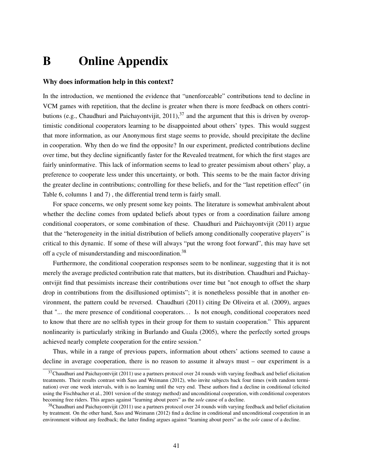## B Online Appendix

## Why does information help in this context?

In the introduction, we mentioned the evidence that "unenforceable" contributions tend to decline in VCM games with repetition, that the decline is greater when there is more feedback on others contributions (e.g., Chaudhuri and Paichayontvijit,  $2011$ ),  $37$  and the argument that this is driven by overoptimistic conditional cooperators learning to be disappointed about others' types. This would suggest that more information, as our Anonymous first stage seems to provide, should precipitate the decline in cooperation. Why then do we find the opposite? In our experiment, predicted contributions decline over time, but they decline significantly faster for the Revealed treatment, for which the first stages are fairly uninformative. This lack of information seems to lead to greater pessimism about others' play, a preference to cooperate less under this uncertainty, or both. This seems to be the main factor driving the greater decline in contributions; controlling for these beliefs, and for the "last repetition effect" (in Table 6, columns 1 and 7) , the differential trend term is fairly small.

For space concerns, we only present some key points. The literature is somewhat ambivalent about whether the decline comes from updated beliefs about types or from a coordination failure among conditional cooperators, or some combination of these. Chaudhuri and Paichayontvijit (2011) argue that the "heterogeneity in the initial distribution of beliefs among conditionally cooperative players" is critical to this dynamic. If some of these will always "put the wrong foot forward", this may have set off a cycle of misunderstanding and miscoordination.<sup>38</sup>

Furthermore, the conditional cooperation responses seem to be nonlinear, suggesting that it is not merely the average predicted contribution rate that matters, but its distribution. Chaudhuri and Paichayontvijit find that pessimists increase their contributions over time but "not enough to offset the sharp drop in contributions from the disillusioned optimists"; it is nonetheless possible that in another environment, the pattern could be reversed. Chaudhuri (2011) citing De Oliveira et al. (2009), argues that "... the mere presence of conditional cooperators. . . Is not enough, conditional cooperators need to know that there are no selfish types in their group for them to sustain cooperation." This apparent nonlinearity is particularly striking in Burlando and Guala (2005), where the perfectly sorted groups achieved nearly complete cooperation for the entire session."

Thus, while in a range of previous papers, information about others' actions seemed to cause a decline in average cooperation, there is no reason to assume it always must – our experiment is a

 $37$ Chaudhuri and Paichayontvijit (2011) use a partners protocol over 24 rounds with varying feedback and belief elicitation treatments. Their results contrast with Sass and Weimann (2012), who invite subjects back four times (with random termination) over one week intervals, with is no learning until the very end. These authors find a decline in conditional (elicited using the Fischbacher et al., 2001 version of the strategy method) and unconditional cooperation, with conditional cooperators becoming free riders. This argues against "learning about peers" as the *sole* cause of a decline.

 $38$ Chaudhuri and Paichayontvijit (2011) use a partners protocol over 24 rounds with varying feedback and belief elicitation by treatment. On the other hand, Sass and Weimann (2012) find a decline in conditional and unconditional cooperation in an environment without any feedback; the latter finding argues against "learning about peers" as the *sole* cause of a decline.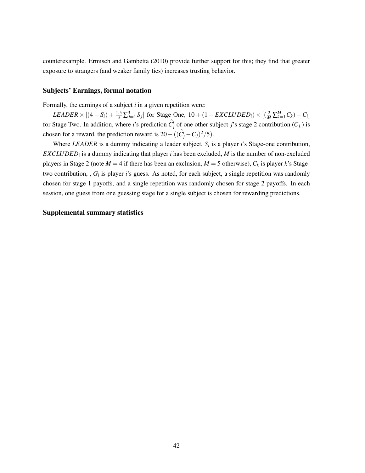counterexample. Ermisch and Gambetta (2010) provide further support for this; they find that greater exposure to strangers (and weaker family ties) increases trusting behavior.

## Subjects' Earnings, formal notation

Formally, the earnings of a subject *i* in a given repetition were:

 $LEADER \times [(4 - S_i) + \frac{1.5}{3} \sum_{j=1}^{3} S_j]$  for Stage One,  $10 + (1 - EXCLUDED_i) \times [(\frac{2}{M} \sum_{k=1}^{M} C_k) - C_i]$ for Stage Two. In addition, where *i*'s prediction  $\hat{C}^i_j$  of one other subject *j*'s stage 2 contribution  $(C_j)$  is chosen for a reward, the prediction reward is  $20 - ((\hat{C}_j^i - C_j)^2/5)$ .

Where *LEADER* is a dummy indicating a leader subject, *S<sup>i</sup>* is a player *i*'s Stage-one contribution, *EXCLUDED<sup>i</sup>* is a dummy indicating that player *i* has been excluded, *M* is the number of non-excluded players in Stage 2 (note  $M = 4$  if there has been an exclusion,  $M = 5$  otherwise),  $C_k$  is player *k*'s Stagetwo contribution, ,  $G_i$  is player *i*'s guess. As noted, for each subject, a single repetition was randomly chosen for stage 1 payoffs, and a single repetition was randomly chosen for stage 2 payoffs. In each session, one guess from one guessing stage for a single subject is chosen for rewarding predictions.

#### Supplemental summary statistics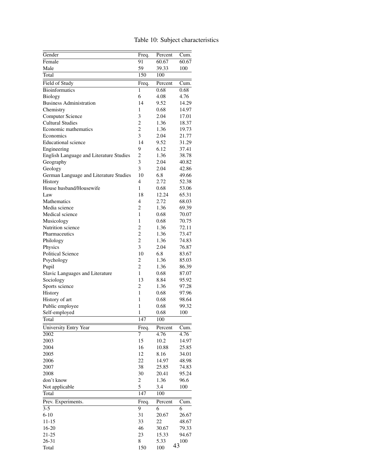| Gender                                  | Freq.                   | Percent | Cum.  |
|-----------------------------------------|-------------------------|---------|-------|
| Female                                  | 91                      | 60.67   | 60.67 |
| Male                                    | 59                      | 39.33   | 100   |
| Total                                   | 150                     | 100     |       |
| Field of Study                          | Freq.                   | Percent | Cum.  |
| <b>Bioinformatics</b>                   | 1                       | 0.68    | 0.68  |
| <b>Biology</b>                          | 6                       | 4.08    | 4.76  |
| <b>Business Administration</b>          | 14                      | 9.52    | 14.29 |
| Chemistry                               | 1                       | 0.68    | 14.97 |
| <b>Computer Science</b>                 | 3                       | 2.04    | 17.01 |
| <b>Cultural Studies</b>                 | 2                       | 1.36    | 18.37 |
| Economic mathematics                    | $\overline{c}$          | 1.36    | 19.73 |
| Economics                               | 3                       | 2.04    | 21.77 |
| <b>Educational</b> science              | 14                      | 9.52    | 31.29 |
| Engineering                             | 9                       | 6.12    | 37.41 |
| English Language and Literature Studies | $\overline{c}$          | 1.36    | 38.78 |
| Geography                               | 3                       | 2.04    | 40.82 |
| Geology                                 | 3                       | 2.04    | 42.86 |
| German Language and Literature Studies  | 10                      | 6.8     | 49.66 |
| History                                 | 4                       | 2.72    | 52.38 |
| House husband/Housewife                 | 1                       | 0.68    | 53.06 |
| Law                                     | 18                      | 12.24   | 65.31 |
| <b>Mathematics</b>                      | 4                       | 2.72    | 68.03 |
| Media science                           | 2                       | 1.36    | 69.39 |
| Medical science                         | 1                       | 0.68    | 70.07 |
| Musicology                              | 1                       | 0.68    | 70.75 |
| Nutrition science                       | $\overline{c}$          | 1.36    | 72.11 |
| Pharmaceutics                           | $\overline{2}$          | 1.36    | 73.47 |
| Philology                               | $\overline{c}$          | 1.36    | 74.83 |
| Physics                                 | 3                       | 2.04    | 76.87 |
| <b>Political Science</b>                | 10                      | 6.8     | 83.67 |
| Psychology                              | 2                       | 1.36    | 85.03 |
| Pupil                                   | $\overline{2}$          | 1.36    | 86.39 |
| Slavic Languages and Literature         | 1                       | 0.68    | 87.07 |
| Sociology                               | 13                      | 8.84    | 95.92 |
| Sports science                          | 2                       | 1.36    | 97.28 |
| History                                 | 1                       | 0.68    | 97.96 |
| History of art                          | 1                       | 0.68    | 98.64 |
| Public employee                         | 1                       | 0.68    | 99.32 |
| Self-employed                           | 1                       | 0.68    | 100   |
| <b>Total</b>                            | 147                     | 100     |       |
| University Entry Year                   | Freq.                   | Percent | Cum.  |
| 2002                                    | 7                       | 4.76    | 4.76  |
| 2003                                    | 15                      | 10.2    | 14.97 |
| 2004                                    | 16                      | 10.88   | 25.85 |
| 2005                                    | 12                      | 8.16    | 34.01 |
| 2006                                    | 22                      | 14.97   | 48.98 |
| 2007                                    | 38                      | 25.85   | 74.83 |
| 2008                                    | 30                      | 20.41   | 95.24 |
| don't know                              | $\overline{\mathbf{c}}$ | 1.36    | 96.6  |
| Not applicable                          | 5                       | 3.4     | 100   |
| Total                                   | 147                     | 100     |       |
| Prev. Experiments.                      | Freq.                   | Percent | Cum.  |
| $3 - 5$                                 | 9                       | 6       | 6     |
| $6 - 10$                                | 31                      | 20.67   | 26.67 |
| 11-15                                   | 33                      | 22      | 48.67 |
| 16-20                                   | 46                      | 30.67   | 79.33 |
| $21 - 25$                               | 23                      | 15.33   | 94.67 |
| 26-31                                   | 8                       | 5.33    | 100   |
| Total                                   | 150                     | 100     | 43    |
|                                         |                         |         |       |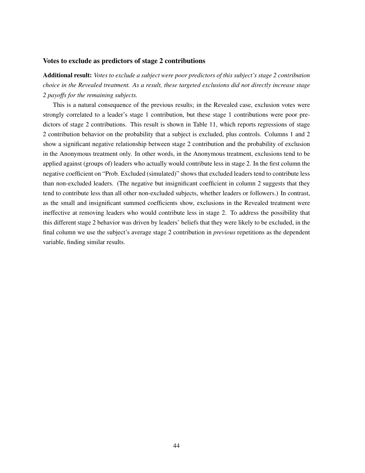#### Votes to exclude as predictors of stage 2 contributions

Additional result: *Votes to exclude a subject were poor predictors of this subject's stage 2 contribution choice in the Revealed treatment. As a result, these targeted exclusions did not directly increase stage 2 payoffs for the remaining subjects.*

This is a natural consequence of the previous results; in the Revealed case, exclusion votes were strongly correlated to a leader's stage 1 contribution, but these stage 1 contributions were poor predictors of stage 2 contributions. This result is shown in Table 11, which reports regressions of stage 2 contribution behavior on the probability that a subject is excluded, plus controls. Columns 1 and 2 show a significant negative relationship between stage 2 contribution and the probability of exclusion in the Anonymous treatment only. In other words, in the Anonymous treatment, exclusions tend to be applied against (groups of) leaders who actually would contribute less in stage 2. In the first column the negative coefficient on "Prob. Excluded (simulated)" shows that excluded leaders tend to contribute less than non-excluded leaders. (The negative but insignificant coefficient in column 2 suggests that they tend to contribute less than all other non-excluded subjects, whether leaders or followers.) In contrast, as the small and insignificant summed coefficients show, exclusions in the Revealed treatment were ineffective at removing leaders who would contribute less in stage 2. To address the possibility that this different stage 2 behavior was driven by leaders' beliefs that they were likely to be excluded, in the final column we use the subject's average stage 2 contribution in *previous* repetitions as the dependent variable, finding similar results.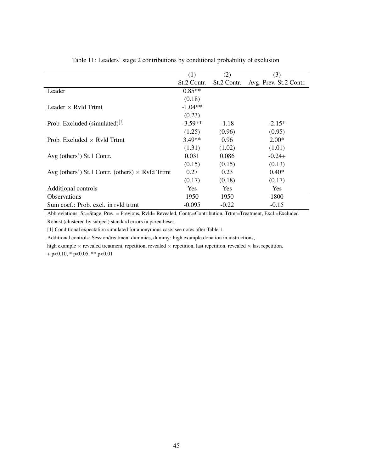|                                                        | (1)         | (2)         | (3)                    |
|--------------------------------------------------------|-------------|-------------|------------------------|
|                                                        | St.2 Contr. | St.2 Contr. | Avg. Prev. St.2 Contr. |
| Leader                                                 | $0.85**$    |             |                        |
|                                                        | (0.18)      |             |                        |
| Leader $\times$ Ryld Trtmt                             | $-1.04**$   |             |                        |
|                                                        | (0.23)      |             |                        |
| Prob. Excluded $(\text{simulated})^{[1]}$              | $-3.59**$   | $-1.18$     | $-2.15*$               |
|                                                        | (1.25)      | (0.96)      | (0.95)                 |
| Prob. Excluded $\times$ Ryld Trtmt                     | $3.49**$    | 0.96        | $2.00*$                |
|                                                        | (1.31)      | (1.02)      | (1.01)                 |
| Avg (others') St.1 Contr.                              | 0.031       | 0.086       | $-0.24+$               |
|                                                        | (0.15)      | (0.15)      | (0.13)                 |
| Avg (others') St.1 Contr. (others) $\times$ Rvld Trtmt | 0.27        | 0.23        | $0.40*$                |
|                                                        | (0.17)      | (0.18)      | (0.17)                 |
| Additional controls                                    | Yes.        | <b>Yes</b>  | Yes                    |
| <b>Observations</b>                                    | 1950        | 1950        | 1800                   |
| Sum coef.: Prob. excl. in ryld trtmt                   | $-0.095$    | $-0.22$     | $-0.15$                |

Table 11: Leaders' stage 2 contributions by conditional probability of exclusion

Abbreviations: St.=Stage, Prev. = Previous, Rvld= Revealed, Contr.=Contribution, Trtmt=Treatment, Excl.=Excluded Robust (clustered by subject) standard errors in parentheses.

[1] Conditional expectation simulated for anonymous case; see notes after Table 1.

Additional controls: Session/treatment dummies, dummy: high example donation in instructions,

high example  $\times$  revealed treatment, repetition, revealed  $\times$  repetition, last repetition, revealed  $\times$  last repetition.

+ p<0.10, \* p<0.05, \*\* p<0.01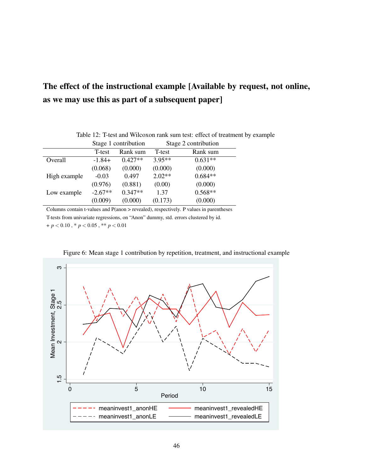## The effect of the instructional example [Available by request, not online, as we may use this as part of a subsequent paper]

|              | Stage 1 contribution |           | Stage 2 contribution |           |
|--------------|----------------------|-----------|----------------------|-----------|
|              | T-test               | Rank sum  | T-test               | Rank sum  |
| Overall      | $-1.84+$             | $0.427**$ | $3.95**$             | $0.631**$ |
|              | (0.068)              | (0.000)   | (0.000)              | (0.000)   |
| High example | $-0.03$              | 0.497     | $2.02**$             | $0.684**$ |
|              | (0.976)              | (0.881)   | (0.00)               | (0.000)   |
| Low example  | $-2.67**$            | $0.347**$ | 1.37                 | $0.568**$ |
|              | (0.009)              | (0.000)   | (0.173)              | (0.000)   |

Table 12: T-test and Wilcoxon rank sum test: effect of treatment by example

Columns contain t-values and P(anon > revealed), respectively. P values in parentheses T-tests from univariate regressions, on "Anon" dummy, std. errors clustered by id.

+ *p* < 0.10 , \* *p* < 0.05 , \*\* *p* < 0.01



Figure 6: Mean stage 1 contribution by repetition, treatment, and instructional example